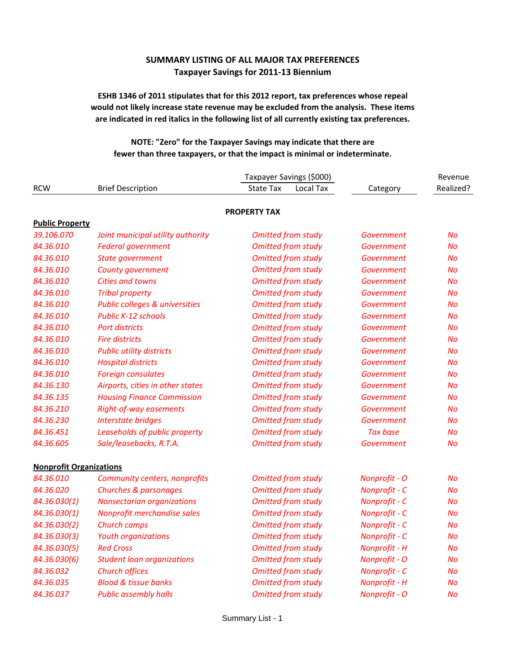## **SUMMARY LISTING OF ALL MAJOR TAX PREFERENCES Taxpayer Savings for 2011-13 Biennium**

## **ESHB 1346 of 2011 stipulates that for this 2012 report, tax preferences whose repeal would not likely increase state revenue may be excluded from the analysis. These items are indicated in red italics in the following list of all currently existing tax preferences.**

## **NOTE: "Zero" for the Taxpayer Savings may indicate that there are fewer than three taxpayers, or that the impact is minimal or indeterminate.**

|                                |                                           | Taxpayer Savings (\$000)      |                      | Revenue   |
|--------------------------------|-------------------------------------------|-------------------------------|----------------------|-----------|
| <b>RCW</b>                     | <b>Brief Description</b>                  | <b>State Tax</b><br>Local Tax | Category             | Realized? |
|                                |                                           | <b>PROPERTY TAX</b>           |                      |           |
| <b>Public Property</b>         |                                           |                               |                      |           |
| 39.106.070                     | Joint municipal utility authority         | <b>Omitted from study</b>     | Government           | <b>No</b> |
| 84.36.010                      | <b>Federal government</b>                 | <b>Omitted from study</b>     | Government           | <b>No</b> |
| 84.36.010                      | State government                          | <b>Omitted from study</b>     | <b>Government</b>    | <b>No</b> |
| 84.36.010                      | County government                         | <b>Omitted from study</b>     | Government           | <b>No</b> |
| 84.36.010                      | <b>Cities and towns</b>                   | <b>Omitted from study</b>     | Government           | <b>No</b> |
| 84.36.010                      | <b>Tribal property</b>                    | <b>Omitted from study</b>     | Government           | No        |
| 84.36.010                      | <b>Public colleges &amp; universities</b> | <b>Omitted from study</b>     | Government           | <b>No</b> |
| 84.36.010                      | <b>Public K-12 schools</b>                | <b>Omitted from study</b>     | Government           | No        |
| 84.36.010                      | <b>Port districts</b>                     | <b>Omitted from study</b>     | Government           | <b>No</b> |
| 84.36.010                      | <b>Fire districts</b>                     | <b>Omitted from study</b>     | Government           | <b>No</b> |
| 84.36.010                      | <b>Public utility districts</b>           | <b>Omitted from study</b>     | Government           | <b>No</b> |
| 84.36.010                      | <b>Hospital districts</b>                 | <b>Omitted from study</b>     | Government           | <b>No</b> |
| 84.36.010                      | <b>Foreign consulates</b>                 | <b>Omitted from study</b>     | Government           | <b>No</b> |
| 84.36.130                      | Airports, cities in other states          | <b>Omitted from study</b>     | Government           | <b>No</b> |
| 84.36.135                      | <b>Housing Finance Commission</b>         | <b>Omitted from study</b>     | Government           | <b>No</b> |
| 84.36.210                      | Right-of-way easements                    | <b>Omitted from study</b>     | Government           | <b>No</b> |
| 84.36.230                      | <b>Interstate bridges</b>                 | <b>Omitted from study</b>     | Government           | No        |
| 84.36.451                      | Leaseholds of public property             | <b>Omitted from study</b>     | <b>Tax base</b>      | <b>No</b> |
| 84.36.605                      | Sale/leasebacks, R.T.A.                   | <b>Omitted from study</b>     | Government           | <b>No</b> |
| <b>Nonprofit Organizations</b> |                                           |                               |                      |           |
| 84.36.010                      | Community centers, nonprofits             | <b>Omitted from study</b>     | <b>Nonprofit - O</b> | No        |
| 84.36.020                      | Churches & parsonages                     | <b>Omitted from study</b>     | Nonprofit - C        | <b>No</b> |
| 84.36.030(1)                   | <b>Nonsectarian organizations</b>         | <b>Omitted from study</b>     | Nonprofit - C        | No        |
| 84.36.030(1)                   | Nonprofit merchandise sales               | <b>Omitted from study</b>     | Nonprofit - C        | No        |
| 84.36.030(2)                   | <b>Church camps</b>                       | <b>Omitted from study</b>     | Nonprofit - C        | No        |
| 84.36.030(3)                   | <b>Youth organizations</b>                | <b>Omitted from study</b>     | Nonprofit - C        | No        |
| 84.36.030(5)                   | <b>Red Cross</b>                          | <b>Omitted from study</b>     | Nonprofit - H        | No        |
| 84.36.030(6)                   | <b>Student loan organizations</b>         | <b>Omitted from study</b>     | Nonprofit - O        | No        |
| 84.36.032                      | <b>Church offices</b>                     | <b>Omitted from study</b>     | Nonprofit - C        | No        |
| 84.36.035                      | <b>Blood &amp; tissue banks</b>           | <b>Omitted from study</b>     | Nonprofit - H        | No        |
| 84.36.037                      | <b>Public assembly halls</b>              | <b>Omitted from study</b>     | Nonprofit - O        | No        |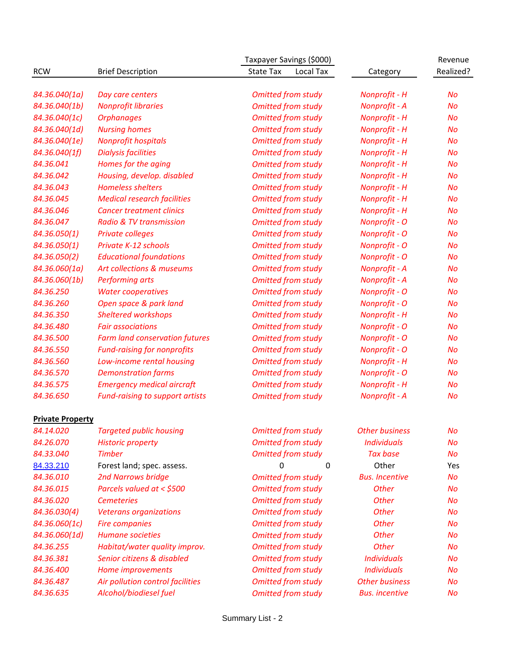|                         | Taxpayer Savings (\$000)               |                               |                       |           |
|-------------------------|----------------------------------------|-------------------------------|-----------------------|-----------|
| <b>RCW</b>              | <b>Brief Description</b>               | <b>State Tax</b><br>Local Tax | Category              | Realized? |
|                         |                                        |                               |                       |           |
| 84.36.040(1a)           | Day care centers                       | <b>Omitted from study</b>     | <b>Nonprofit - H</b>  | <b>No</b> |
| 84.36.040(1b)           | <b>Nonprofit libraries</b>             | <b>Omitted from study</b>     | Nonprofit - A         | No        |
| 84.36.040(1c)           | <b>Orphanages</b>                      | <b>Omitted from study</b>     | <b>Nonprofit - H</b>  | No        |
| 84.36.040(1d)           | <b>Nursing homes</b>                   | <b>Omitted from study</b>     | Nonprofit - H         | <b>No</b> |
| 84.36.040(1e)           | <b>Nonprofit hospitals</b>             | <b>Omitted from study</b>     | <b>Nonprofit - H</b>  | No        |
| 84.36.040(1f)           | <b>Dialysis facilities</b>             | <b>Omitted from study</b>     | Nonprofit - H         | No        |
| 84.36.041               | Homes for the aging                    | <b>Omitted from study</b>     | <b>Nonprofit - H</b>  | No        |
| 84.36.042               | Housing, develop. disabled             | <b>Omitted from study</b>     | <b>Nonprofit - H</b>  | No        |
| 84.36.043               | <b>Homeless shelters</b>               | <b>Omitted from study</b>     | Nonprofit - H         | No        |
| 84.36.045               | <b>Medical research facilities</b>     | <b>Omitted from study</b>     | Nonprofit - H         | No        |
| 84.36.046               | <b>Cancer treatment clinics</b>        | <b>Omitted from study</b>     | Nonprofit - H         | No        |
| 84.36.047               | <b>Radio &amp; TV transmission</b>     | <b>Omitted from study</b>     | Nonprofit - O         | No        |
| 84.36.050(1)            | Private colleges                       | <b>Omitted from study</b>     | Nonprofit - O         | No        |
| 84.36.050(1)            | Private K-12 schools                   | <b>Omitted from study</b>     | Nonprofit - O         | No        |
| 84.36.050(2)            | <b>Educational foundations</b>         | <b>Omitted from study</b>     | Nonprofit - O         | No        |
| 84.36.060(1a)           | Art collections & museums              | <b>Omitted from study</b>     | Nonprofit - A         | No        |
| 84.36.060(1b)           | <b>Performing arts</b>                 | <b>Omitted from study</b>     | Nonprofit - A         | No        |
| 84.36.250               | <b>Water cooperatives</b>              | <b>Omitted from study</b>     | Nonprofit - O         | No        |
| 84.36.260               | Open space & park land                 | <b>Omitted from study</b>     | Nonprofit - O         | No        |
| 84.36.350               | <b>Sheltered workshops</b>             | <b>Omitted from study</b>     | Nonprofit - H         | No        |
| 84.36.480               | <b>Fair associations</b>               | <b>Omitted from study</b>     | Nonprofit - O         | No        |
| 84.36.500               | <b>Farm land conservation futures</b>  | <b>Omitted from study</b>     | <b>Nonprofit - O</b>  | No        |
| 84.36.550               | <b>Fund-raising for nonprofits</b>     | <b>Omitted from study</b>     | Nonprofit - O         | No        |
| 84.36.560               | Low-income rental housing              | <b>Omitted from study</b>     | Nonprofit - H         | No        |
| 84.36.570               | <b>Demonstration farms</b>             | <b>Omitted from study</b>     | Nonprofit - O         | No        |
| 84.36.575               | <b>Emergency medical aircraft</b>      | <b>Omitted from study</b>     | Nonprofit - H         | No        |
| 84.36.650               | <b>Fund-raising to support artists</b> | <b>Omitted from study</b>     | Nonprofit - A         | No        |
|                         |                                        |                               |                       |           |
| <b>Private Property</b> |                                        |                               |                       |           |
| 84.14.020               | <b>Targeted public housing</b>         | <b>Omitted from study</b>     | <b>Other business</b> | No        |
| 84.26.070               | <b>Historic property</b>               | <b>Omitted from study</b>     | <b>Individuals</b>    | <b>No</b> |
| 84.33.040               | <b>Timber</b>                          | <b>Omitted from study</b>     | <b>Tax base</b>       | No        |
| 84.33.210               | Forest land; spec. assess.             | $\mathbf 0$<br>0              | Other                 | Yes       |
| 84.36.010               | <b>2nd Narrows bridge</b>              | <b>Omitted from study</b>     | <b>Bus. Incentive</b> | <b>No</b> |
| 84.36.015               | Parcels valued at < \$500              | <b>Omitted from study</b>     | <b>Other</b>          | <b>No</b> |
| 84.36.020               | <b>Cemeteries</b>                      | <b>Omitted from study</b>     | <b>Other</b>          | No        |
| 84.36.030(4)            | <b>Veterans organizations</b>          | <b>Omitted from study</b>     | <b>Other</b>          | <b>No</b> |
| 84.36.060(1c)           | <b>Fire companies</b>                  | <b>Omitted from study</b>     | <b>Other</b>          | <b>No</b> |
| 84.36.060(1d)           | <b>Humane societies</b>                | <b>Omitted from study</b>     | <b>Other</b>          | No        |
| 84.36.255               | Habitat/water quality improv.          | <b>Omitted from study</b>     | <b>Other</b>          | No        |
| 84.36.381               | Senior citizens & disabled             | <b>Omitted from study</b>     | <b>Individuals</b>    | No        |
| 84.36.400               | Home improvements                      | <b>Omitted from study</b>     | <b>Individuals</b>    | <b>No</b> |
| 84.36.487               | Air pollution control facilities       | <b>Omitted from study</b>     | <b>Other business</b> | No        |
| 84.36.635               | Alcohol/biodiesel fuel                 | <b>Omitted from study</b>     | <b>Bus.</b> incentive | No        |
|                         |                                        |                               |                       |           |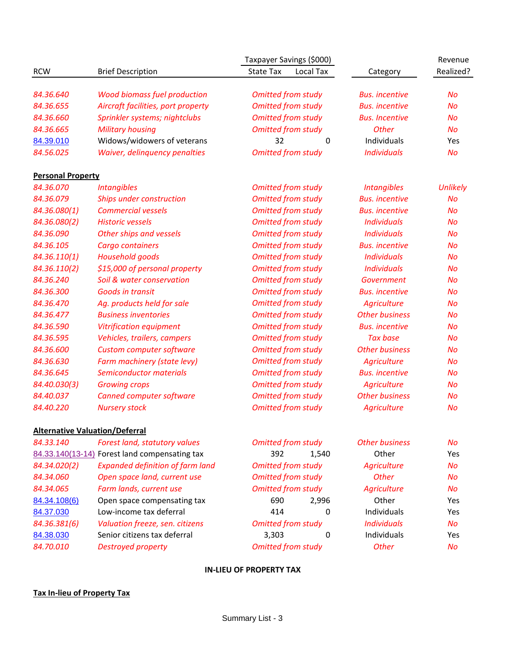| <b>RCW</b><br><b>Brief Description</b><br><b>State Tax</b><br>Local Tax<br>Category<br><b>Wood biomass fuel production</b><br><b>Omitted from study</b><br>84.36.640<br><b>Bus.</b> incentive<br>No<br>84.36.655<br><b>Omitted from study</b><br>Aircraft facilities, port property<br><b>Bus.</b> incentive<br><b>No</b><br><b>Omitted from study</b><br>84.36.660<br>Sprinkler systems; nightclubs<br><b>Bus. Incentive</b><br><b>No</b><br>84.36.665<br><b>Military housing</b><br><b>Omitted from study</b><br><b>Other</b><br>No<br>Widows/widowers of veterans<br>32<br>84.39.010<br>$\mathbf 0$<br>Individuals<br>Yes<br><b>Omitted from study</b><br>84.56.025<br><b>Individuals</b><br>Waiver, delinquency penalties<br><b>No</b><br><b>Personal Property</b><br>84.36.070<br><b>Intangibles</b><br><b>Omitted from study</b><br><b>Intangibles</b><br>84.36.079<br>Ships under construction<br><b>Omitted from study</b><br><b>Bus.</b> incentive<br><b>No</b><br>84.36.080(1)<br><b>Commercial vessels</b><br><b>Omitted from study</b><br><b>Bus.</b> incentive<br><b>No</b><br><b>Omitted from study</b><br>84.36.080(2)<br><b>Historic vessels</b><br><b>Individuals</b><br><b>No</b><br>84.36.090<br>Other ships and vessels<br><b>Omitted from study</b><br><b>Individuals</b><br><b>No</b><br><b>Omitted from study</b><br>84.36.105<br><b>Cargo containers</b><br><b>Bus.</b> incentive<br><b>No</b><br>84.36.110(1)<br><b>Household goods</b><br><b>Omitted from study</b><br><b>Individuals</b><br><b>No</b><br><b>Omitted from study</b><br>84.36.110(2)<br>\$15,000 of personal property<br><b>Individuals</b><br><b>No</b><br>84.36.240<br><b>Omitted from study</b><br>Soil & water conservation<br><b>No</b><br>Government |           |                         | Taxpayer Savings (\$000)  |                       | Revenue         |
|-----------------------------------------------------------------------------------------------------------------------------------------------------------------------------------------------------------------------------------------------------------------------------------------------------------------------------------------------------------------------------------------------------------------------------------------------------------------------------------------------------------------------------------------------------------------------------------------------------------------------------------------------------------------------------------------------------------------------------------------------------------------------------------------------------------------------------------------------------------------------------------------------------------------------------------------------------------------------------------------------------------------------------------------------------------------------------------------------------------------------------------------------------------------------------------------------------------------------------------------------------------------------------------------------------------------------------------------------------------------------------------------------------------------------------------------------------------------------------------------------------------------------------------------------------------------------------------------------------------------------------------------------------------------------------------------------------------------------------------------------------|-----------|-------------------------|---------------------------|-----------------------|-----------------|
|                                                                                                                                                                                                                                                                                                                                                                                                                                                                                                                                                                                                                                                                                                                                                                                                                                                                                                                                                                                                                                                                                                                                                                                                                                                                                                                                                                                                                                                                                                                                                                                                                                                                                                                                                     |           |                         |                           |                       | Realized?       |
|                                                                                                                                                                                                                                                                                                                                                                                                                                                                                                                                                                                                                                                                                                                                                                                                                                                                                                                                                                                                                                                                                                                                                                                                                                                                                                                                                                                                                                                                                                                                                                                                                                                                                                                                                     |           |                         |                           |                       |                 |
|                                                                                                                                                                                                                                                                                                                                                                                                                                                                                                                                                                                                                                                                                                                                                                                                                                                                                                                                                                                                                                                                                                                                                                                                                                                                                                                                                                                                                                                                                                                                                                                                                                                                                                                                                     |           |                         |                           |                       |                 |
|                                                                                                                                                                                                                                                                                                                                                                                                                                                                                                                                                                                                                                                                                                                                                                                                                                                                                                                                                                                                                                                                                                                                                                                                                                                                                                                                                                                                                                                                                                                                                                                                                                                                                                                                                     |           |                         |                           |                       |                 |
|                                                                                                                                                                                                                                                                                                                                                                                                                                                                                                                                                                                                                                                                                                                                                                                                                                                                                                                                                                                                                                                                                                                                                                                                                                                                                                                                                                                                                                                                                                                                                                                                                                                                                                                                                     |           |                         |                           |                       |                 |
|                                                                                                                                                                                                                                                                                                                                                                                                                                                                                                                                                                                                                                                                                                                                                                                                                                                                                                                                                                                                                                                                                                                                                                                                                                                                                                                                                                                                                                                                                                                                                                                                                                                                                                                                                     |           |                         |                           |                       |                 |
|                                                                                                                                                                                                                                                                                                                                                                                                                                                                                                                                                                                                                                                                                                                                                                                                                                                                                                                                                                                                                                                                                                                                                                                                                                                                                                                                                                                                                                                                                                                                                                                                                                                                                                                                                     |           |                         |                           |                       |                 |
|                                                                                                                                                                                                                                                                                                                                                                                                                                                                                                                                                                                                                                                                                                                                                                                                                                                                                                                                                                                                                                                                                                                                                                                                                                                                                                                                                                                                                                                                                                                                                                                                                                                                                                                                                     |           |                         |                           |                       |                 |
|                                                                                                                                                                                                                                                                                                                                                                                                                                                                                                                                                                                                                                                                                                                                                                                                                                                                                                                                                                                                                                                                                                                                                                                                                                                                                                                                                                                                                                                                                                                                                                                                                                                                                                                                                     |           |                         |                           |                       |                 |
|                                                                                                                                                                                                                                                                                                                                                                                                                                                                                                                                                                                                                                                                                                                                                                                                                                                                                                                                                                                                                                                                                                                                                                                                                                                                                                                                                                                                                                                                                                                                                                                                                                                                                                                                                     |           |                         |                           |                       | <b>Unlikely</b> |
|                                                                                                                                                                                                                                                                                                                                                                                                                                                                                                                                                                                                                                                                                                                                                                                                                                                                                                                                                                                                                                                                                                                                                                                                                                                                                                                                                                                                                                                                                                                                                                                                                                                                                                                                                     |           |                         |                           |                       |                 |
|                                                                                                                                                                                                                                                                                                                                                                                                                                                                                                                                                                                                                                                                                                                                                                                                                                                                                                                                                                                                                                                                                                                                                                                                                                                                                                                                                                                                                                                                                                                                                                                                                                                                                                                                                     |           |                         |                           |                       |                 |
|                                                                                                                                                                                                                                                                                                                                                                                                                                                                                                                                                                                                                                                                                                                                                                                                                                                                                                                                                                                                                                                                                                                                                                                                                                                                                                                                                                                                                                                                                                                                                                                                                                                                                                                                                     |           |                         |                           |                       |                 |
|                                                                                                                                                                                                                                                                                                                                                                                                                                                                                                                                                                                                                                                                                                                                                                                                                                                                                                                                                                                                                                                                                                                                                                                                                                                                                                                                                                                                                                                                                                                                                                                                                                                                                                                                                     |           |                         |                           |                       |                 |
|                                                                                                                                                                                                                                                                                                                                                                                                                                                                                                                                                                                                                                                                                                                                                                                                                                                                                                                                                                                                                                                                                                                                                                                                                                                                                                                                                                                                                                                                                                                                                                                                                                                                                                                                                     |           |                         |                           |                       |                 |
|                                                                                                                                                                                                                                                                                                                                                                                                                                                                                                                                                                                                                                                                                                                                                                                                                                                                                                                                                                                                                                                                                                                                                                                                                                                                                                                                                                                                                                                                                                                                                                                                                                                                                                                                                     |           |                         |                           |                       |                 |
|                                                                                                                                                                                                                                                                                                                                                                                                                                                                                                                                                                                                                                                                                                                                                                                                                                                                                                                                                                                                                                                                                                                                                                                                                                                                                                                                                                                                                                                                                                                                                                                                                                                                                                                                                     |           |                         |                           |                       |                 |
|                                                                                                                                                                                                                                                                                                                                                                                                                                                                                                                                                                                                                                                                                                                                                                                                                                                                                                                                                                                                                                                                                                                                                                                                                                                                                                                                                                                                                                                                                                                                                                                                                                                                                                                                                     |           |                         |                           |                       |                 |
|                                                                                                                                                                                                                                                                                                                                                                                                                                                                                                                                                                                                                                                                                                                                                                                                                                                                                                                                                                                                                                                                                                                                                                                                                                                                                                                                                                                                                                                                                                                                                                                                                                                                                                                                                     | 84.36.300 | <b>Goods in transit</b> | <b>Omitted from study</b> | <b>Bus.</b> incentive | <b>No</b>       |
| <b>Omitted from study</b><br>84.36.470<br>Ag. products held for sale<br>Agriculture<br><b>No</b>                                                                                                                                                                                                                                                                                                                                                                                                                                                                                                                                                                                                                                                                                                                                                                                                                                                                                                                                                                                                                                                                                                                                                                                                                                                                                                                                                                                                                                                                                                                                                                                                                                                    |           |                         |                           |                       |                 |
| <b>Omitted from study</b><br>84.36.477<br><b>Business inventories</b><br><b>Other business</b><br><b>No</b>                                                                                                                                                                                                                                                                                                                                                                                                                                                                                                                                                                                                                                                                                                                                                                                                                                                                                                                                                                                                                                                                                                                                                                                                                                                                                                                                                                                                                                                                                                                                                                                                                                         |           |                         |                           |                       |                 |
| 84.36.590<br><b>Vitrification equipment</b><br><b>Omitted from study</b><br><b>Bus.</b> incentive<br><b>No</b>                                                                                                                                                                                                                                                                                                                                                                                                                                                                                                                                                                                                                                                                                                                                                                                                                                                                                                                                                                                                                                                                                                                                                                                                                                                                                                                                                                                                                                                                                                                                                                                                                                      |           |                         |                           |                       |                 |
| 84.36.595<br><b>Omitted from study</b><br><b>Tax base</b><br>Vehicles, trailers, campers<br><b>No</b>                                                                                                                                                                                                                                                                                                                                                                                                                                                                                                                                                                                                                                                                                                                                                                                                                                                                                                                                                                                                                                                                                                                                                                                                                                                                                                                                                                                                                                                                                                                                                                                                                                               |           |                         |                           |                       |                 |
| 84.36.600<br><b>Omitted from study</b><br><b>Other business</b><br><b>Custom computer software</b><br><b>No</b>                                                                                                                                                                                                                                                                                                                                                                                                                                                                                                                                                                                                                                                                                                                                                                                                                                                                                                                                                                                                                                                                                                                                                                                                                                                                                                                                                                                                                                                                                                                                                                                                                                     |           |                         |                           |                       |                 |
| 84.36.630<br>Farm machinery (state levy)<br><b>Omitted from study</b><br><b>Agriculture</b><br><b>No</b>                                                                                                                                                                                                                                                                                                                                                                                                                                                                                                                                                                                                                                                                                                                                                                                                                                                                                                                                                                                                                                                                                                                                                                                                                                                                                                                                                                                                                                                                                                                                                                                                                                            |           |                         |                           |                       |                 |
| 84.36.645<br><b>Omitted from study</b><br>Semiconductor materials<br><b>Bus.</b> incentive<br><b>No</b>                                                                                                                                                                                                                                                                                                                                                                                                                                                                                                                                                                                                                                                                                                                                                                                                                                                                                                                                                                                                                                                                                                                                                                                                                                                                                                                                                                                                                                                                                                                                                                                                                                             |           |                         |                           |                       |                 |
| <b>Omitted from study</b><br><b>Agriculture</b><br>84.40.030(3)<br><b>Growing crops</b><br><b>No</b>                                                                                                                                                                                                                                                                                                                                                                                                                                                                                                                                                                                                                                                                                                                                                                                                                                                                                                                                                                                                                                                                                                                                                                                                                                                                                                                                                                                                                                                                                                                                                                                                                                                |           |                         |                           |                       |                 |
| <b>Omitted from study</b><br>84.40.037<br>Canned computer software<br><b>Other business</b><br><b>No</b>                                                                                                                                                                                                                                                                                                                                                                                                                                                                                                                                                                                                                                                                                                                                                                                                                                                                                                                                                                                                                                                                                                                                                                                                                                                                                                                                                                                                                                                                                                                                                                                                                                            |           |                         |                           |                       |                 |
| 84.40.220<br><b>Omitted from study</b><br><b>Nursery stock</b><br><b>Agriculture</b><br>No                                                                                                                                                                                                                                                                                                                                                                                                                                                                                                                                                                                                                                                                                                                                                                                                                                                                                                                                                                                                                                                                                                                                                                                                                                                                                                                                                                                                                                                                                                                                                                                                                                                          |           |                         |                           |                       |                 |
| <b>Alternative Valuation/Deferral</b>                                                                                                                                                                                                                                                                                                                                                                                                                                                                                                                                                                                                                                                                                                                                                                                                                                                                                                                                                                                                                                                                                                                                                                                                                                                                                                                                                                                                                                                                                                                                                                                                                                                                                                               |           |                         |                           |                       |                 |
| 84.33.140<br>Forest land, statutory values<br><b>Omitted from study</b><br><b>Other business</b><br><b>No</b>                                                                                                                                                                                                                                                                                                                                                                                                                                                                                                                                                                                                                                                                                                                                                                                                                                                                                                                                                                                                                                                                                                                                                                                                                                                                                                                                                                                                                                                                                                                                                                                                                                       |           |                         |                           |                       |                 |
| Other<br>84.33.140(13-14) Forest land compensating tax<br>392<br>Yes<br>1,540                                                                                                                                                                                                                                                                                                                                                                                                                                                                                                                                                                                                                                                                                                                                                                                                                                                                                                                                                                                                                                                                                                                                                                                                                                                                                                                                                                                                                                                                                                                                                                                                                                                                       |           |                         |                           |                       |                 |
| <b>Expanded definition of farm land</b><br><b>Omitted from study</b><br><b>Agriculture</b><br>84.34.020(2)<br><b>No</b>                                                                                                                                                                                                                                                                                                                                                                                                                                                                                                                                                                                                                                                                                                                                                                                                                                                                                                                                                                                                                                                                                                                                                                                                                                                                                                                                                                                                                                                                                                                                                                                                                             |           |                         |                           |                       |                 |
| 84.34.060<br><b>Omitted from study</b><br><b>Other</b><br>Open space land, current use<br><b>No</b>                                                                                                                                                                                                                                                                                                                                                                                                                                                                                                                                                                                                                                                                                                                                                                                                                                                                                                                                                                                                                                                                                                                                                                                                                                                                                                                                                                                                                                                                                                                                                                                                                                                 |           |                         |                           |                       |                 |
| 84.34.065<br>Farm lands, current use<br><b>Omitted from study</b><br><b>Agriculture</b><br><b>No</b>                                                                                                                                                                                                                                                                                                                                                                                                                                                                                                                                                                                                                                                                                                                                                                                                                                                                                                                                                                                                                                                                                                                                                                                                                                                                                                                                                                                                                                                                                                                                                                                                                                                |           |                         |                           |                       |                 |
| 690<br>Other<br>84.34.108(6)<br>Open space compensating tax<br>2,996<br>Yes                                                                                                                                                                                                                                                                                                                                                                                                                                                                                                                                                                                                                                                                                                                                                                                                                                                                                                                                                                                                                                                                                                                                                                                                                                                                                                                                                                                                                                                                                                                                                                                                                                                                         |           |                         |                           |                       |                 |
| Individuals<br>84.37.030<br>Low-income tax deferral<br>414<br>0<br>Yes                                                                                                                                                                                                                                                                                                                                                                                                                                                                                                                                                                                                                                                                                                                                                                                                                                                                                                                                                                                                                                                                                                                                                                                                                                                                                                                                                                                                                                                                                                                                                                                                                                                                              |           |                         |                           |                       |                 |
| <b>Individuals</b><br>84.36.381(6)<br>Valuation freeze, sen. citizens<br><b>Omitted from study</b><br>No                                                                                                                                                                                                                                                                                                                                                                                                                                                                                                                                                                                                                                                                                                                                                                                                                                                                                                                                                                                                                                                                                                                                                                                                                                                                                                                                                                                                                                                                                                                                                                                                                                            |           |                         |                           |                       |                 |
| Senior citizens tax deferral<br>3,303<br>84.38.030<br>Individuals<br>$\boldsymbol{0}$<br>Yes                                                                                                                                                                                                                                                                                                                                                                                                                                                                                                                                                                                                                                                                                                                                                                                                                                                                                                                                                                                                                                                                                                                                                                                                                                                                                                                                                                                                                                                                                                                                                                                                                                                        |           |                         |                           |                       |                 |

#### **IN-LIEU OF PROPERTY TAX**

*84.70.010 Destroyed property Other No Omitted from study*

## **Tax In-lieu of Property Tax**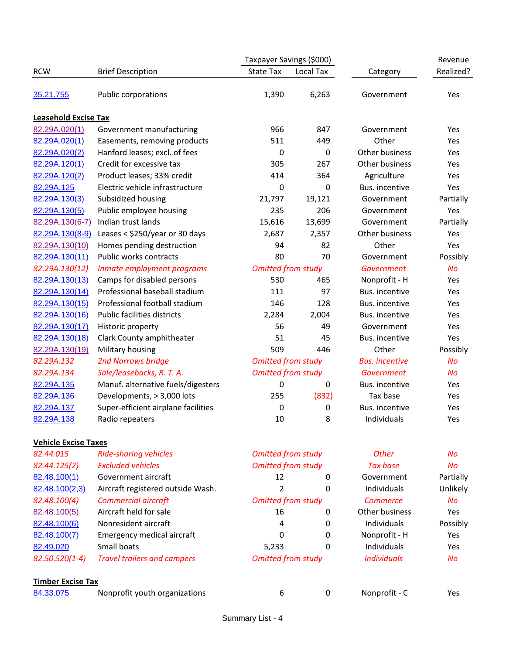|                             |                                     | Taxpayer Savings (\$000)  |           |                       | Revenue   |
|-----------------------------|-------------------------------------|---------------------------|-----------|-----------------------|-----------|
| <b>RCW</b>                  | <b>Brief Description</b>            | <b>State Tax</b>          | Local Tax | Category              | Realized? |
| 35.21.755                   | Public corporations                 | 1,390                     | 6,263     | Government            | Yes       |
| <b>Leasehold Excise Tax</b> |                                     |                           |           |                       |           |
| 82.29A.020(1)               | Government manufacturing            | 966                       | 847       | Government            | Yes       |
| 82.29A.020(1)               | Easements, removing products        | 511                       | 449       | Other                 | Yes       |
| 82.29A.020(2)               | Hanford leases; excl. of fees       | 0                         | 0         | Other business        | Yes       |
| 82.29A.120(1)               | Credit for excessive tax            | 305                       | 267       | Other business        | Yes       |
| 82.29A.120(2)               | Product leases; 33% credit          | 414                       | 364       | Agriculture           | Yes       |
| 82.29A.125                  | Electric vehicle infrastructure     | 0                         | 0         | Bus. incentive        | Yes       |
| 82.29A.130(3)               | Subsidized housing                  | 21,797                    | 19,121    | Government            | Partially |
| 82.29A.130(5)               | Public employee housing             | 235                       | 206       | Government            | Yes       |
| 82.29A.130(6-7)             | Indian trust lands                  | 15,616                    | 13,699    | Government            | Partially |
| 82.29A.130(8-9)             | Leases < \$250/year or 30 days      | 2,687                     | 2,357     | Other business        | Yes       |
| 82.29A.130(10)              | Homes pending destruction           | 94                        | 82        | Other                 | Yes       |
| 82.29A.130(11)              | Public works contracts              | 80                        | 70        | Government            | Possibly  |
| 82.29A.130(12)              | Inmate employment programs          | <b>Omitted from study</b> |           | Government            | <b>No</b> |
| 82.29A.130(13)              | Camps for disabled persons          | 530                       | 465       | Nonprofit - H         | Yes       |
| 82.29A.130(14)              | Professional baseball stadium       | 111                       | 97        | Bus. incentive        | Yes       |
| 82.29A.130(15)              | Professional football stadium       | 146                       | 128       | Bus. incentive        | Yes       |
| 82.29A.130(16)              | <b>Public facilities districts</b>  | 2,284                     | 2,004     | Bus. incentive        | Yes       |
| 82.29A.130(17)              | Historic property                   | 56                        | 49        | Government            | Yes       |
| 82.29A.130(18)              | Clark County amphitheater           | 51                        | 45        | Bus. incentive        | Yes       |
| 82.29A.130(19)              | Military housing                    | 509                       | 446       | Other                 | Possibly  |
| 82.29A.132                  | <b>2nd Narrows bridge</b>           | <b>Omitted from study</b> |           | <b>Bus.</b> incentive | <b>No</b> |
| 82.29A.134                  | Sale/leasebacks, R. T. A.           | <b>Omitted from study</b> |           | Government            | No        |
| 82.29A.135                  | Manuf. alternative fuels/digesters  | 0                         | 0         | Bus. incentive        | Yes       |
| 82.29A.136                  | Developments, > 3,000 lots          | 255                       | (832)     | Tax base              | Yes       |
| 82.29A.137                  | Super-efficient airplane facilities | $\mathbf 0$               | 0         | Bus. incentive        | Yes       |
| 82.29A.138                  | Radio repeaters                     | 10                        | 8         | Individuals           | Yes       |
| <b>Vehicle Excise Taxes</b> |                                     |                           |           |                       |           |
| 82.44.015                   | <b>Ride-sharing vehicles</b>        | <b>Omitted from study</b> |           | Other                 | Nο        |
| 82.44.125(2)                | <b>Excluded vehicles</b>            | <b>Omitted from study</b> |           | <b>Tax base</b>       | No        |
| 82.48.100(1)                | Government aircraft                 | 12                        | 0         | Government            | Partially |
| 82.48.100(2,3)              | Aircraft registered outside Wash.   | 2                         | 0         | Individuals           | Unlikely  |
| 82.48.100(4)                | <b>Commercial aircraft</b>          | <b>Omitted from study</b> |           | <b>Commerce</b>       | <b>No</b> |
| 82.48.100(5)                | Aircraft held for sale              | 16                        | 0         | Other business        | Yes       |
| 82.48.100(6)                | Nonresident aircraft                | 4                         | 0         | Individuals           | Possibly  |
| 82.48.100(7)                | Emergency medical aircraft          | 0                         | 0         | Nonprofit - H         | Yes       |
| 82.49.020                   | Small boats                         | 5,233                     | 0         | Individuals           | Yes       |
| $82.50.520(1-4)$            | <b>Travel trailers and campers</b>  | <b>Omitted from study</b> |           | <b>Individuals</b>    | <b>No</b> |
| <b>Timber Excise Tax</b>    |                                     |                           |           |                       |           |
| 84.33.075                   | Nonprofit youth organizations       | 6                         | 0         | Nonprofit - C         | Yes       |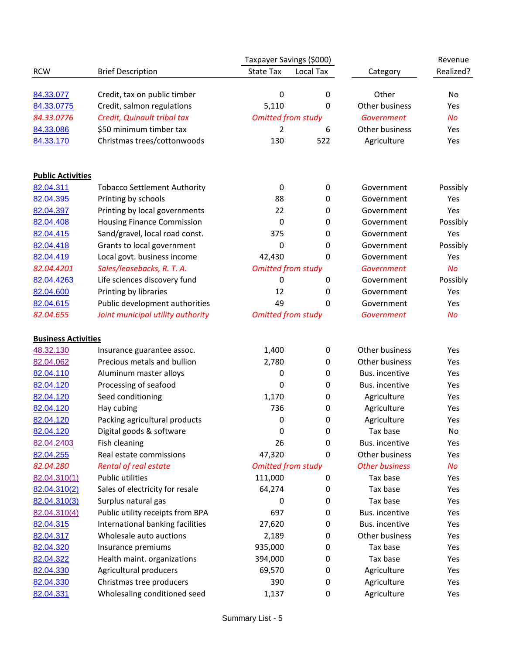|                            |                                     | Taxpayer Savings (\$000)  |           |                       | Revenue   |
|----------------------------|-------------------------------------|---------------------------|-----------|-----------------------|-----------|
| <b>RCW</b>                 | <b>Brief Description</b>            | <b>State Tax</b>          | Local Tax | Category              | Realized? |
|                            |                                     |                           |           |                       |           |
| 84.33.077                  | Credit, tax on public timber        | 0                         | 0         | Other                 | No        |
| 84.33.0775                 | Credit, salmon regulations          | 5,110                     | 0         | Other business        | Yes       |
| 84.33.0776                 | Credit, Quinault tribal tax         | <b>Omitted from study</b> |           | Government            | <b>No</b> |
| 84.33.086                  | \$50 minimum timber tax             | 2                         | 6         | Other business        | Yes       |
| 84.33.170                  | Christmas trees/cottonwoods         | 130                       | 522       | Agriculture           | Yes       |
| <b>Public Activities</b>   |                                     |                           |           |                       |           |
| 82.04.311                  | <b>Tobacco Settlement Authority</b> | $\boldsymbol{0}$          | $\pmb{0}$ | Government            | Possibly  |
| 82.04.395                  | Printing by schools                 | 88                        | 0         | Government            | Yes       |
| 82.04.397                  | Printing by local governments       | 22                        | 0         | Government            | Yes       |
| 82.04.408                  | <b>Housing Finance Commission</b>   | 0                         | 0         | Government            | Possibly  |
| 82.04.415                  | Sand/gravel, local road const.      | 375                       | 0         | Government            | Yes       |
| 82.04.418                  | Grants to local government          | 0                         | 0         | Government            | Possibly  |
| 82.04.419                  | Local govt. business income         | 42,430                    | 0         | Government            | Yes       |
| 82.04.4201                 | Sales/leasebacks, R. T. A.          | <b>Omitted from study</b> |           | Government            | <b>No</b> |
| 82.04.4263                 | Life sciences discovery fund        | 0                         | 0         | Government            | Possibly  |
| 82.04.600                  | Printing by libraries               | 12                        | 0         | Government            | Yes       |
| 82.04.615                  | Public development authorities      | 49                        | 0         | Government            | Yes       |
| 82.04.655                  | Joint municipal utility authority   | <b>Omitted from study</b> |           | Government            | <b>No</b> |
| <b>Business Activities</b> |                                     |                           |           |                       |           |
| 48.32.130                  | Insurance guarantee assoc.          | 1,400                     | $\pmb{0}$ | Other business        | Yes       |
| 82.04.062                  | Precious metals and bullion         | 2,780                     | 0         | Other business        | Yes       |
| 82.04.110                  | Aluminum master alloys              | 0                         | 0         | Bus. incentive        | Yes       |
| 82.04.120                  | Processing of seafood               | $\mathbf 0$               | 0         | Bus. incentive        | Yes       |
| 82.04.120                  | Seed conditioning                   | 1,170                     | 0         | Agriculture           | Yes       |
| 82.04.120                  | Hay cubing                          | 736                       | 0         | Agriculture           | Yes       |
| 82.04.120                  | Packing agricultural products       | 0                         | 0         | Agriculture           | Yes       |
| 82.04.120                  | Digital goods & software            | 0                         | 0         | Tax base              | No        |
| 82.04.2403                 | Fish cleaning                       | 26                        | 0         | Bus. incentive        | Yes       |
| 82.04.255                  | Real estate commissions             | 47,320                    | 0         | Other business        | Yes       |
| 82.04.280                  | Rental of real estate               | <b>Omitted from study</b> |           | <b>Other business</b> | <b>No</b> |
| 82.04.310(1)               | <b>Public utilities</b>             | 111,000                   | 0         | Tax base              | Yes       |
| 82.04.310(2)               | Sales of electricity for resale     | 64,274                    | 0         | Tax base              | Yes       |
| 82.04.310(3)               | Surplus natural gas                 | 0                         | 0         | Tax base              | Yes       |
| 82.04.310(4)               | Public utility receipts from BPA    | 697                       | 0         | Bus. incentive        | Yes       |
| 82.04.315                  | International banking facilities    | 27,620                    | 0         | Bus. incentive        | Yes       |
| 82.04.317                  | Wholesale auto auctions             | 2,189                     | 0         | Other business        | Yes       |
| 82.04.320                  | Insurance premiums                  | 935,000                   | 0         | Tax base              | Yes       |
| 82.04.322                  | Health maint. organizations         | 394,000                   | 0         | Tax base              | Yes       |
| 82.04.330                  | Agricultural producers              | 69,570                    | 0         | Agriculture           | Yes       |
| 82.04.330                  | Christmas tree producers            | 390                       | 0         | Agriculture           | Yes       |
| 82.04.331                  | Wholesaling conditioned seed        | 1,137                     | 0         | Agriculture           | Yes       |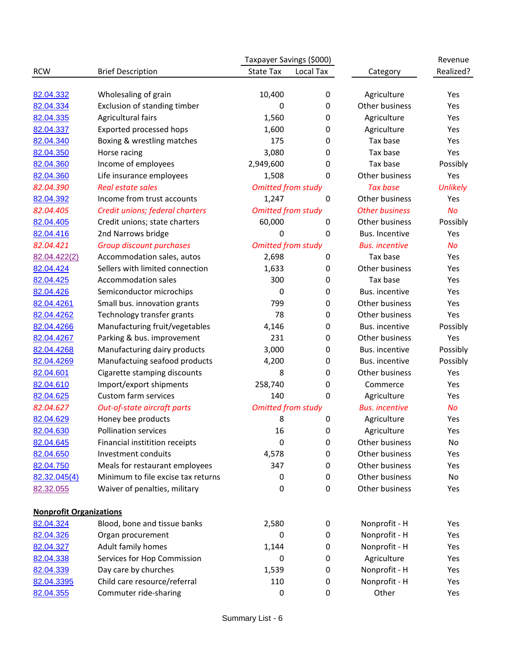|                                |                                    | Taxpayer Savings (\$000)  |             |                       | Revenue         |
|--------------------------------|------------------------------------|---------------------------|-------------|-----------------------|-----------------|
| <b>RCW</b>                     | <b>Brief Description</b>           | <b>State Tax</b>          | Local Tax   | Category              | Realized?       |
|                                |                                    |                           |             |                       |                 |
| 82.04.332                      | Wholesaling of grain               | 10,400                    | 0           | Agriculture           | Yes             |
| 82.04.334                      | Exclusion of standing timber       | 0                         | 0           | Other business        | Yes             |
| 82.04.335                      | Agricultural fairs                 | 1,560                     | 0           | Agriculture           | Yes             |
| 82.04.337                      | Exported processed hops            | 1,600                     | 0           | Agriculture           | Yes             |
| 82.04.340                      | Boxing & wrestling matches         | 175                       | 0           | Tax base              | Yes             |
| 82.04.350                      | Horse racing                       | 3,080                     | 0           | Tax base              | Yes             |
| 82.04.360                      | Income of employees                | 2,949,600                 | 0           | Tax base              | Possibly        |
| 82.04.360                      | Life insurance employees           | 1,508                     | $\pmb{0}$   | Other business        | Yes             |
| 82.04.390                      | <b>Real estate sales</b>           | <b>Omitted from study</b> |             | <b>Tax base</b>       | <b>Unlikely</b> |
| 82.04.392                      | Income from trust accounts         | 1,247                     | $\mathbf 0$ | Other business        | Yes             |
| 82.04.405                      | Credit unions; federal charters    | <b>Omitted from study</b> |             | <b>Other business</b> | <b>No</b>       |
| 82.04.405                      | Credit unions; state charters      | 60,000                    | 0           | Other business        | Possibly        |
| 82.04.416                      | 2nd Narrows bridge                 | 0                         | $\pmb{0}$   | Bus. Incentive        | Yes             |
| 82.04.421                      | <b>Group discount purchases</b>    | <b>Omitted from study</b> |             | <b>Bus.</b> incentive | <b>No</b>       |
| 82.04.422(2)                   | Accommodation sales, autos         | 2,698                     | 0           | Tax base              | Yes             |
| 82.04.424                      | Sellers with limited connection    | 1,633                     | 0           | Other business        | Yes             |
| 82.04.425                      | <b>Accommodation sales</b>         | 300                       | 0           | Tax base              | Yes             |
| 82.04.426                      | Semiconductor microchips           | 0                         | 0           | Bus. incentive        | Yes             |
| 82.04.4261                     | Small bus. innovation grants       | 799                       | 0           | Other business        | Yes             |
| 82.04.4262                     | Technology transfer grants         | 78                        | 0           | Other business        | Yes             |
| 82.04.4266                     | Manufacturing fruit/vegetables     | 4,146                     | 0           | Bus. incentive        | Possibly        |
| 82.04.4267                     | Parking & bus. improvement         | 231                       | 0           | Other business        | Yes             |
| 82.04.4268                     | Manufacturing dairy products       | 3,000                     | 0           | Bus. incentive        | Possibly        |
| 82.04.4269                     | Manufactuing seafood products      | 4,200                     | 0           | Bus. incentive        | Possibly        |
| 82.04.601                      | Cigarette stamping discounts       | 8                         | 0           | Other business        | Yes             |
| 82.04.610                      | Import/export shipments            | 258,740                   | 0           | Commerce              | Yes             |
| 82.04.625                      | <b>Custom farm services</b>        | 140                       | 0           | Agriculture           | Yes             |
| 82.04.627                      | Out-of-state aircraft parts        | <b>Omitted from study</b> |             | <b>Bus.</b> incentive | <b>No</b>       |
| 82.04.629                      | Honey bee products                 | 8                         | 0           | Agriculture           | Yes             |
| 82.04.630                      | <b>Pollination services</b>        | 16                        | 0           | Agriculture           | Yes             |
| 82.04.645                      | Financial institition receipts     | $\mathbf 0$               | 0           | Other business        | No              |
| 82.04.650                      | Investment conduits                | 4,578                     | 0           | Other business        | Yes             |
| 82.04.750                      | Meals for restaurant employees     | 347                       | 0           | Other business        | Yes             |
| 82.32.045(4)                   | Minimum to file excise tax returns | 0                         | 0           | Other business        | No              |
| 82.32.055                      | Waiver of penalties, military      | 0                         | 0           | Other business        | Yes             |
|                                |                                    |                           |             |                       |                 |
| <b>Nonprofit Organizations</b> |                                    |                           |             |                       |                 |
| 82.04.324                      | Blood, bone and tissue banks       | 2,580                     | 0           | Nonprofit - H         | Yes             |
| 82.04.326                      | Organ procurement                  | $\boldsymbol{0}$          | 0           | Nonprofit - H         | Yes             |
| 82.04.327                      | Adult family homes                 | 1,144                     | 0           | Nonprofit - H         | Yes             |
| 82.04.338                      | Services for Hop Commission        | 0                         | 0           | Agriculture           | Yes             |
| 82.04.339                      | Day care by churches               | 1,539                     | 0           | Nonprofit - H         | Yes             |
| 82.04.3395                     | Child care resource/referral       | 110                       | 0           | Nonprofit - H         | Yes             |
| 82.04.355                      | Commuter ride-sharing              | $\pmb{0}$                 | 0           | Other                 | Yes             |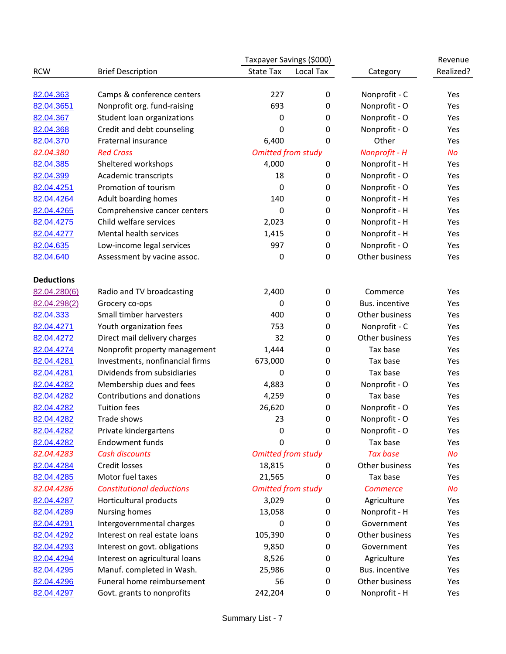|                         |                                                           | Taxpayer Savings (\$000)  |                |                                | Revenue    |  |
|-------------------------|-----------------------------------------------------------|---------------------------|----------------|--------------------------------|------------|--|
| <b>RCW</b>              | <b>Brief Description</b>                                  | <b>State Tax</b>          | Local Tax      | Category                       | Realized?  |  |
|                         |                                                           | 227                       |                |                                |            |  |
| 82.04.363<br>82.04.3651 | Camps & conference centers<br>Nonprofit org. fund-raising | 693                       | $\pmb{0}$<br>0 | Nonprofit - C<br>Nonprofit - O | Yes<br>Yes |  |
| 82.04.367               | Student loan organizations                                | 0                         | 0              | Nonprofit - O                  | Yes        |  |
| 82.04.368               | Credit and debt counseling                                | 0                         | $\pmb{0}$      | Nonprofit - O                  | Yes        |  |
|                         | Fraternal insurance                                       | 6,400                     |                | Other                          | Yes        |  |
| 82.04.370<br>82.04.380  | <b>Red Cross</b>                                          |                           | 0              |                                | <b>No</b>  |  |
|                         |                                                           | <b>Omitted from study</b> |                | Nonprofit - H                  |            |  |
| 82.04.385<br>82.04.399  | Sheltered workshops<br>Academic transcripts               | 4,000                     | $\pmb{0}$      | Nonprofit - H<br>Nonprofit - O | Yes<br>Yes |  |
| 82.04.4251              | Promotion of tourism                                      | 18<br>0                   | 0              | Nonprofit - O                  | Yes        |  |
|                         |                                                           |                           | 0              |                                |            |  |
| 82.04.4264              | Adult boarding homes                                      | 140                       | $\pmb{0}$      | Nonprofit - H                  | Yes        |  |
| 82.04.4265              | Comprehensive cancer centers                              | 0                         | 0              | Nonprofit - H                  | Yes        |  |
| 82.04.4275              | Child welfare services                                    | 2,023                     | 0              | Nonprofit - H                  | Yes        |  |
| 82.04.4277              | Mental health services                                    | 1,415                     | $\pmb{0}$      | Nonprofit - H                  | Yes        |  |
| 82.04.635               | Low-income legal services                                 | 997                       | 0              | Nonprofit - O                  | Yes        |  |
| 82.04.640               | Assessment by vacine assoc.                               | $\mathbf 0$               | 0              | Other business                 | Yes        |  |
| <b>Deductions</b>       |                                                           |                           |                |                                |            |  |
| 82.04.280(6)            | Radio and TV broadcasting                                 | 2,400                     | $\pmb{0}$      | Commerce                       | Yes        |  |
| 82.04.298(2)            | Grocery co-ops                                            | 0                         | $\pmb{0}$      | Bus. incentive                 | Yes        |  |
| 82.04.333               | Small timber harvesters                                   | 400                       | 0              | Other business                 | Yes        |  |
| 82.04.4271              | Youth organization fees                                   | 753                       | 0              | Nonprofit - C                  | Yes        |  |
| 82.04.4272              | Direct mail delivery charges                              | 32                        | 0              | Other business                 | Yes        |  |
| 82.04.4274              | Nonprofit property management                             | 1,444                     | 0              | Tax base                       | Yes        |  |
| 82.04.4281              | Investments, nonfinancial firms                           | 673,000                   | 0              | Tax base                       | Yes        |  |
| 82.04.4281              | Dividends from subsidiaries                               | 0                         | 0              | Tax base                       | Yes        |  |
| 82.04.4282              | Membership dues and fees                                  | 4,883                     | 0              | Nonprofit - O                  | Yes        |  |
| 82.04.4282              | Contributions and donations                               | 4,259                     | 0              | Tax base                       | Yes        |  |
| 82.04.4282              | <b>Tuition fees</b>                                       | 26,620                    | 0              | Nonprofit - O                  | Yes        |  |
| 82.04.4282              | Trade shows                                               | 23                        | 0              | Nonprofit - O                  | Yes        |  |
| 82.04.4282              | Private kindergartens                                     | 0                         | $\pmb{0}$      | Nonprofit - O                  | Yes        |  |
| 82.04.4282              | <b>Endowment funds</b>                                    | 0                         | 0              | Tax base                       | Yes        |  |
| 82.04.4283              | <b>Cash discounts</b>                                     | <b>Omitted from study</b> |                | <b>Tax base</b>                | <b>No</b>  |  |
| 82.04.4284              | Credit losses                                             | 18,815                    | 0              | Other business                 | Yes        |  |
| 82.04.4285              | Motor fuel taxes                                          | 21,565                    | 0              | Tax base                       | Yes        |  |
| 82.04.4286              | <b>Constitutional deductions</b>                          | <b>Omitted from study</b> |                | <b>Commerce</b>                | <b>No</b>  |  |
| 82.04.4287              | Horticultural products                                    | 3,029                     | 0              | Agriculture                    | Yes        |  |
| 82.04.4289              | Nursing homes                                             | 13,058                    | 0              | Nonprofit - H                  | Yes        |  |
| 82.04.4291              | Intergovernmental charges                                 | 0                         | 0              | Government                     | Yes        |  |
| 82.04.4292              | Interest on real estate loans                             | 105,390                   | 0              | Other business                 | Yes        |  |
| 82.04.4293              | Interest on govt. obligations                             | 9,850                     | 0              | Government                     | Yes        |  |
| 82.04.4294              | Interest on agricultural loans                            | 8,526                     | 0              | Agriculture                    | Yes        |  |
| 82.04.4295              | Manuf. completed in Wash.                                 | 25,986                    | $\pmb{0}$      | Bus. incentive                 | Yes        |  |
| 82.04.4296              | Funeral home reimbursement                                | 56                        | 0              | Other business                 | Yes        |  |
| 82.04.4297              | Govt. grants to nonprofits                                | 242,204                   | 0              | Nonprofit - H                  | Yes        |  |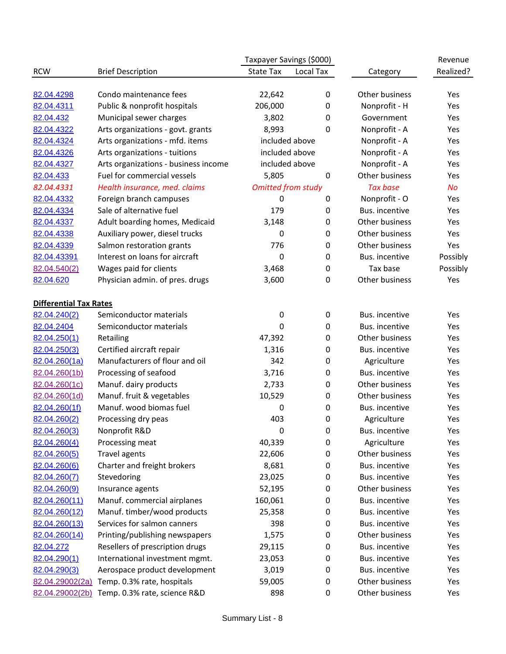|                               |                                              | Taxpayer Savings (\$000)  |           |                 | Revenue   |
|-------------------------------|----------------------------------------------|---------------------------|-----------|-----------------|-----------|
| <b>RCW</b>                    | <b>Brief Description</b>                     | <b>State Tax</b>          | Local Tax | Category        | Realized? |
|                               |                                              |                           |           |                 |           |
| 82.04.4298                    | Condo maintenance fees                       | 22,642                    | 0         | Other business  | Yes       |
| 82.04.4311                    | Public & nonprofit hospitals                 | 206,000                   | 0         | Nonprofit - H   | Yes       |
| 82.04.432                     | Municipal sewer charges                      | 3,802                     | 0         | Government      | Yes       |
| 82.04.4322                    | Arts organizations - govt. grants            | 8,993                     | 0         | Nonprofit - A   | Yes       |
| 82.04.4324                    | Arts organizations - mfd. items              | included above            |           | Nonprofit - A   | Yes       |
| 82.04.4326                    | Arts organizations - tuitions                | included above            |           | Nonprofit - A   | Yes       |
| 82.04.4327                    | Arts organizations - business income         | included above            |           | Nonprofit - A   | Yes       |
| 82.04.433                     | Fuel for commercial vessels                  | 5,805                     | $\pmb{0}$ | Other business  | Yes       |
| 82.04.4331                    | Health insurance, med. claims                | <b>Omitted from study</b> |           | <b>Tax base</b> | <b>No</b> |
| 82.04.4332                    | Foreign branch campuses                      | 0                         | 0         | Nonprofit - O   | Yes       |
| 82.04.4334                    | Sale of alternative fuel                     | 179                       | 0         | Bus. incentive  | Yes       |
| 82.04.4337                    | Adult boarding homes, Medicaid               | 3,148                     | 0         | Other business  | Yes       |
| 82.04.4338                    | Auxiliary power, diesel trucks               | 0                         | 0         | Other business  | Yes       |
| 82.04.4339                    | Salmon restoration grants                    | 776                       | 0         | Other business  | Yes       |
| 82.04.43391                   | Interest on loans for aircraft               | 0                         | 0         | Bus. incentive  | Possibly  |
| 82.04.540(2)                  | Wages paid for clients                       | 3,468                     | 0         | Tax base        | Possibly  |
| 82.04.620                     | Physician admin. of pres. drugs              | 3,600                     | 0         | Other business  | Yes       |
|                               |                                              |                           |           |                 |           |
| <b>Differential Tax Rates</b> |                                              |                           |           |                 |           |
| 82.04.240(2)                  | Semiconductor materials                      | $\mathbf 0$               | $\pmb{0}$ | Bus. incentive  | Yes       |
| 82.04.2404                    | Semiconductor materials                      | 0                         | 0         | Bus. incentive  | Yes       |
| 82.04.250(1)                  | Retailing                                    | 47,392                    | 0         | Other business  | Yes       |
| 82.04.250(3)                  | Certified aircraft repair                    | 1,316                     | 0         | Bus. incentive  | Yes       |
| 82.04.260(1a)                 | Manufacturers of flour and oil               | 342                       | 0         | Agriculture     | Yes       |
| 82.04.260(1b)                 | Processing of seafood                        | 3,716                     | 0         | Bus. incentive  | Yes       |
| 82.04.260(1c)                 | Manuf. dairy products                        | 2,733                     | 0         | Other business  | Yes       |
| 82.04.260(1d)                 | Manuf. fruit & vegetables                    | 10,529                    | 0         | Other business  | Yes       |
| 82.04.260(1f)                 | Manuf. wood biomas fuel                      | 0                         | 0         | Bus. incentive  | Yes       |
| 82.04.260(2)                  | Processing dry peas                          | 403                       | 0         | Agriculture     | Yes       |
| 82.04.260(3)                  | Nonprofit R&D                                | 0                         | $\pmb{0}$ | Bus. incentive  | Yes       |
| 82.04.260(4)                  | Processing meat                              | 40,339                    | 0         | Agriculture     | Yes       |
| 82.04.260(5)                  | Travel agents                                | 22,606                    | 0         | Other business  | Yes       |
| 82.04.260(6)                  | Charter and freight brokers                  | 8,681                     | 0         | Bus. incentive  | Yes       |
| 82.04.260(7)                  | Stevedoring                                  | 23,025                    | 0         | Bus. incentive  | Yes       |
| 82.04.260(9)                  | Insurance agents                             | 52,195                    | 0         | Other business  | Yes       |
| 82.04.260(11)                 | Manuf. commercial airplanes                  | 160,061                   | 0         | Bus. incentive  | Yes       |
| 82.04.260(12)                 | Manuf. timber/wood products                  | 25,358                    | 0         | Bus. incentive  | Yes       |
| 82.04.260(13)                 | Services for salmon canners                  | 398                       | 0         | Bus. incentive  | Yes       |
| 82.04.260(14)                 | Printing/publishing newspapers               | 1,575                     | 0         | Other business  | Yes       |
| 82.04.272                     | Resellers of prescription drugs              | 29,115                    | 0         | Bus. incentive  | Yes       |
| 82.04.290(1)                  | International investment mgmt.               | 23,053                    | 0         | Bus. incentive  | Yes       |
| 82.04.290(3)                  | Aerospace product development                | 3,019                     | 0         | Bus. incentive  | Yes       |
| 82.04.29002(2a)               | Temp. 0.3% rate, hospitals                   | 59,005                    | 0         | Other business  | Yes       |
|                               | 82.04.29002(2b) Temp. 0.3% rate, science R&D | 898                       | 0         | Other business  | Yes       |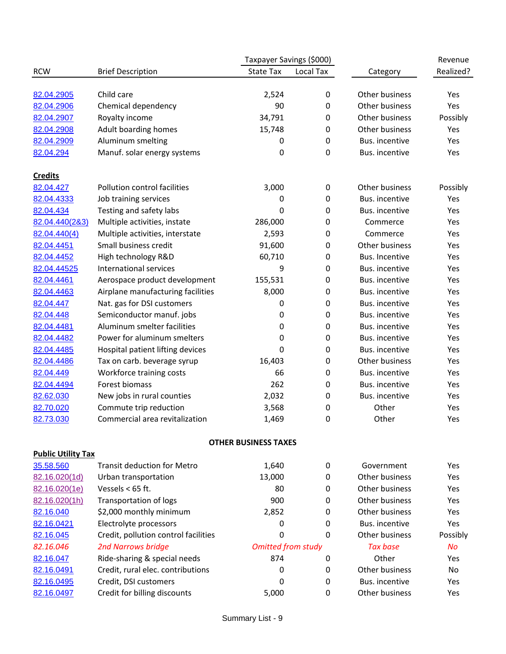|                           |                                            | Taxpayer Savings (\$000)    |           |                 | Revenue        |
|---------------------------|--------------------------------------------|-----------------------------|-----------|-----------------|----------------|
| <b>RCW</b>                | <b>Brief Description</b>                   | <b>State Tax</b>            | Local Tax | Category        | Realized?      |
|                           |                                            |                             |           |                 |                |
| 82.04.2905                | Child care                                 | 2,524                       | 0         | Other business  | Yes            |
| 82.04.2906                | Chemical dependency                        | 90                          | 0         | Other business  | Yes            |
| 82.04.2907                | Royalty income                             | 34,791                      | 0         | Other business  | Possibly       |
| 82.04.2908                | Adult boarding homes                       | 15,748                      | 0         | Other business  | Yes            |
| 82.04.2909                | Aluminum smelting                          | 0                           | 0         | Bus. incentive  | Yes            |
| 82.04.294                 | Manuf. solar energy systems                | 0                           | 0         | Bus. incentive  | Yes            |
| <b>Credits</b>            |                                            |                             |           |                 |                |
| 82.04.427                 | Pollution control facilities               | 3,000                       | 0         | Other business  | Possibly       |
| 82.04.4333                | Job training services                      | 0                           | 0         | Bus. incentive  | Yes            |
| 82.04.434                 | Testing and safety labs                    | 0                           | 0         | Bus. incentive  | Yes            |
| 82.04.440(2&3)            | Multiple activities, instate               | 286,000                     | 0         | Commerce        | Yes            |
| 82.04.440(4)              | Multiple activities, interstate            | 2,593                       | 0         | Commerce        | Yes            |
| 82.04.4451                | Small business credit                      | 91,600                      | 0         | Other business  | Yes            |
| 82.04.4452                | High technology R&D                        | 60,710                      | 0         | Bus. Incentive  | Yes            |
| 82.04.44525               | International services                     | 9                           | 0         | Bus. incentive  | Yes            |
| 82.04.4461                | Aerospace product development              | 155,531                     | 0         | Bus. incentive  | Yes            |
| 82.04.4463                | Airplane manufacturing facilities          | 8,000                       | 0         | Bus. incentive  | Yes            |
| 82.04.447                 | Nat. gas for DSI customers                 | 0                           | 0         | Bus. incentive  | Yes            |
| 82.04.448                 | Semiconductor manuf. jobs                  | 0                           | 0         | Bus. incentive  | Yes            |
| 82.04.4481                | Aluminum smelter facilities                | 0                           | 0         | Bus. incentive  | Yes            |
| 82.04.4482                | Power for aluminum smelters                | 0                           | 0         | Bus. incentive  | Yes            |
| 82.04.4485                | Hospital patient lifting devices           | 0                           | 0         | Bus. incentive  | Yes            |
| 82.04.4486                | Tax on carb. beverage syrup                | 16,403                      | 0         | Other business  | Yes            |
| 82.04.449                 |                                            | 66                          |           | Bus. incentive  | Yes            |
|                           | Workforce training costs<br>Forest biomass | 262                         | 0         | Bus. incentive  |                |
| 82.04.4494                |                                            |                             | 0         |                 | Yes            |
| 82.62.030                 | New jobs in rural counties                 | 2,032                       | 0         | Bus. incentive  | Yes            |
| 82.70.020                 | Commute trip reduction                     | 3,568                       | 0         | Other           | Yes            |
| 82.73.030                 | Commercial area revitalization             | 1,469                       | 0         | Other           | Yes            |
|                           |                                            | <b>OTHER BUSINESS TAXES</b> |           |                 |                |
| <b>Public Utility Tax</b> |                                            |                             |           |                 |                |
| 35.58.560                 | <b>Transit deduction for Metro</b>         | 1,640                       | 0         | Government      | Yes            |
| 82.16.020(1d)             | Urban transportation                       | 13,000                      | 0         | Other business  | Yes            |
| 82.16.020(1e)             | Vessels $<$ 65 ft.                         | 80                          | 0         | Other business  | Yes            |
| 82.16.020(1h)             | Transportation of logs                     | 900                         | 0         | Other business  | Yes            |
| 82.16.040                 | \$2,000 monthly minimum                    | 2,852                       | 0         | Other business  | Yes            |
| 82.16.0421                | Electrolyte processors                     | 0                           | 0         | Bus. incentive  | Yes            |
| 82.16.045                 | Credit, pollution control facilities       | 0                           | 0         | Other business  | Possibly       |
| 82.16.046                 | <b>2nd Narrows bridge</b>                  | <b>Omitted from study</b>   |           | <b>Tax base</b> | <b>No</b>      |
| 82.16.047                 | Ride-sharing & special needs               | 874                         | 0         | Other           | Yes            |
| 82.16.0491                | Credit, rural elec. contributions          | 0                           | 0         | Other business  | N <sub>o</sub> |
| 82.16.0495                | Credit, DSI customers                      | 0                           | 0         | Bus. incentive  | Yes            |
| 82.16.0497                | Credit for billing discounts               | 5,000                       | 0         | Other business  | Yes            |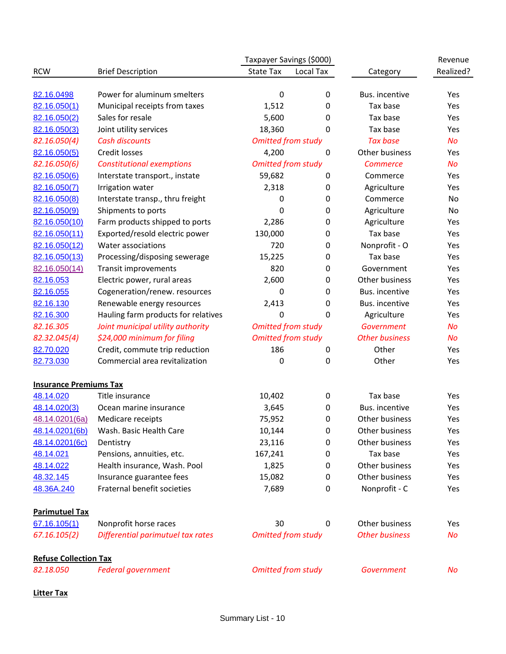|                               |                                     | Taxpayer Savings (\$000)  |           |                       | Revenue   |
|-------------------------------|-------------------------------------|---------------------------|-----------|-----------------------|-----------|
| <b>RCW</b>                    | <b>Brief Description</b>            | <b>State Tax</b>          | Local Tax | Category              | Realized? |
|                               |                                     |                           |           |                       |           |
| 82.16.0498                    | Power for aluminum smelters         | 0                         | 0         | Bus. incentive        | Yes       |
| 82.16.050(1)                  | Municipal receipts from taxes       | 1,512                     | 0         | Tax base              | Yes       |
| 82.16.050(2)                  | Sales for resale                    | 5,600                     | 0         | Tax base              | Yes       |
| 82.16.050(3)                  | Joint utility services              | 18,360                    | 0         | Tax base              | Yes       |
| 82.16.050(4)                  | <b>Cash discounts</b>               | <b>Omitted from study</b> |           | <b>Tax base</b>       | <b>No</b> |
| 82.16.050(5)                  | Credit losses                       | 4,200                     | 0         | Other business        | Yes       |
| 82.16.050(6)                  | <b>Constitutional exemptions</b>    | <b>Omitted from study</b> |           | <b>Commerce</b>       | No        |
| 82.16.050(6)                  | Interstate transport., instate      | 59,682                    | 0         | Commerce              | Yes       |
| 82.16.050(7)                  | Irrigation water                    | 2,318                     | 0         | Agriculture           | Yes       |
| 82.16.050(8)                  | Interstate transp., thru freight    | 0                         | 0         | Commerce              | No        |
| 82.16.050(9)                  | Shipments to ports                  | 0                         | 0         | Agriculture           | No        |
| 82.16.050(10)                 | Farm products shipped to ports      | 2,286                     | 0         | Agriculture           | Yes       |
| 82.16.050(11)                 | Exported/resold electric power      | 130,000                   | 0         | Tax base              | Yes       |
| 82.16.050(12)                 | Water associations                  | 720                       | 0         | Nonprofit - O         | Yes       |
| 82.16.050(13)                 | Processing/disposing sewerage       | 15,225                    | 0         | Tax base              | Yes       |
| 82.16.050(14)                 | Transit improvements                | 820                       | 0         | Government            | Yes       |
| 82.16.053                     | Electric power, rural areas         | 2,600                     | 0         | Other business        | Yes       |
| 82.16.055                     | Cogeneration/renew. resources       | 0                         | 0         | Bus. incentive        | Yes       |
| 82.16.130                     | Renewable energy resources          | 2,413                     | 0         | Bus. incentive        | Yes       |
| 82.16.300                     | Hauling farm products for relatives | 0                         | 0         | Agriculture           | Yes       |
| 82.16.305                     | Joint municipal utility authority   | <b>Omitted from study</b> |           | Government            | <b>No</b> |
| 82.32.045(4)                  | \$24,000 minimum for filing         | <b>Omitted from study</b> |           | <b>Other business</b> | No        |
| 82.70.020                     | Credit, commute trip reduction      | 186                       | 0         | Other                 | Yes       |
| 82.73.030                     | Commercial area revitalization      | 0                         | 0         | Other                 | Yes       |
| <b>Insurance Premiums Tax</b> |                                     |                           |           |                       |           |
| 48.14.020                     | Title insurance                     | 10,402                    | 0         | Tax base              | Yes       |
| 48.14.020(3)                  | Ocean marine insurance              | 3,645                     | 0         | Bus. incentive        | Yes       |
| 48.14.0201(6a)                | Medicare receipts                   | 75,952                    | 0         | Other business        | Yes       |
| 48.14.0201(6b)                | Wash. Basic Health Care             | 10,144                    | 0         | Other business        | Yes       |
| 48.14.0201(6c)                | Dentistry                           | 23,116                    | 0         | Other business        | Yes       |
| 48.14.021                     | Pensions, annuities, etc.           | 167,241                   | 0         | Tax base              | Yes       |
| 48.14.022                     | Health insurance, Wash. Pool        | 1,825                     | 0         | Other business        | Yes       |
| 48.32.145                     | Insurance guarantee fees            | 15,082                    | 0         | Other business        | Yes       |
| 48.36A.240                    | Fraternal benefit societies         | 7,689                     | 0         | Nonprofit - C         | Yes       |
| <b>Parimutuel Tax</b>         |                                     |                           |           |                       |           |
| 67.16.105(1)                  | Nonprofit horse races               | 30                        | 0         | Other business        | Yes       |
| 67.16.105(2)                  | Differential parimutuel tax rates   | <b>Omitted from study</b> |           | <b>Other business</b> | No        |
| <b>Refuse Collection Tax</b>  |                                     |                           |           |                       |           |
| 82.18.050                     | <b>Federal government</b>           | <b>Omitted from study</b> |           | <b>Government</b>     | No        |

# **Litter Tax**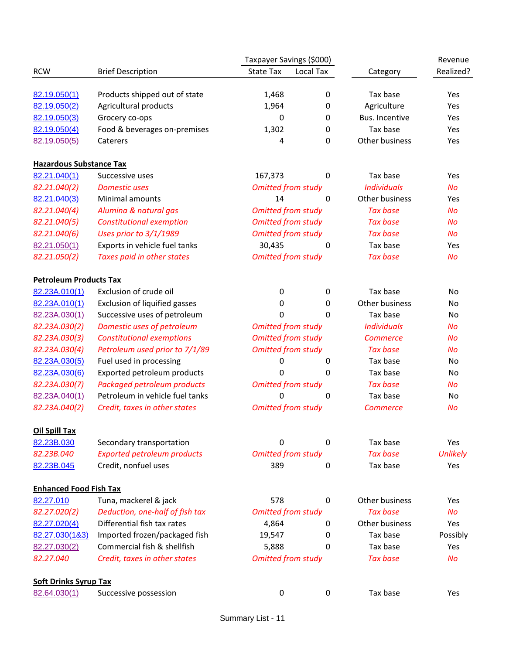|                                |                                    | Taxpayer Savings (\$000)  |           |                    | Revenue         |
|--------------------------------|------------------------------------|---------------------------|-----------|--------------------|-----------------|
| <b>RCW</b>                     | <b>Brief Description</b>           | <b>State Tax</b>          | Local Tax | Category           | Realized?       |
|                                |                                    |                           |           |                    |                 |
| 82.19.050(1)                   | Products shipped out of state      | 1,468                     | 0         | Tax base           | Yes             |
| 82.19.050(2)                   | Agricultural products              | 1,964                     | 0         | Agriculture        | Yes             |
| 82.19.050(3)                   | Grocery co-ops                     | 0                         | 0         | Bus. Incentive     | Yes             |
| 82.19.050(4)                   | Food & beverages on-premises       | 1,302                     | 0         | Tax base           | Yes             |
| 82.19.050(5)                   | Caterers                           | 4                         | 0         | Other business     | Yes             |
| <b>Hazardous Substance Tax</b> |                                    |                           |           |                    |                 |
| 82.21.040(1)                   | Successive uses                    | 167,373                   | 0         | Tax base           | Yes             |
| 82.21.040(2)                   | <b>Domestic uses</b>               | <b>Omitted from study</b> |           | <b>Individuals</b> | <b>No</b>       |
| 82.21.040(3)                   | Minimal amounts                    | 14                        | 0         | Other business     | Yes             |
| 82.21.040(4)                   | Alumina & natural gas              | <b>Omitted from study</b> |           | <b>Tax base</b>    | <b>No</b>       |
| 82.21.040(5)                   | <b>Constitutional exemption</b>    | <b>Omitted from study</b> |           | <b>Tax base</b>    | <b>No</b>       |
| 82.21.040(6)                   | Uses prior to 3/1/1989             | <b>Omitted from study</b> |           | <b>Tax base</b>    | <b>No</b>       |
| 82.21.050(1)                   | Exports in vehicle fuel tanks      | 30,435                    | 0         | Tax base           | Yes             |
| 82.21.050(2)                   | Taxes paid in other states         | <b>Omitted from study</b> |           | <b>Tax base</b>    | <b>No</b>       |
| <b>Petroleum Products Tax</b>  |                                    |                           |           |                    |                 |
| 82.23A.010(1)                  | Exclusion of crude oil             | $\mathbf 0$               | 0         | Tax base           | No              |
| 82.23A.010(1)                  | Exclusion of liquified gasses      | 0                         | 0         | Other business     | No              |
| 82.23A.030(1)                  | Successive uses of petroleum       | 0                         | 0         | Tax base           | No              |
| 82.23A.030(2)                  | Domestic uses of petroleum         | <b>Omitted from study</b> |           | <b>Individuals</b> | <b>No</b>       |
| 82.23A.030(3)                  | <b>Constitutional exemptions</b>   | <b>Omitted from study</b> |           | <b>Commerce</b>    | No              |
| 82.23A.030(4)                  | Petroleum used prior to 7/1/89     | <b>Omitted from study</b> |           | <b>Tax base</b>    | No              |
| 82.23A.030(5)                  | Fuel used in processing            | 0                         | 0         | Tax base           | No              |
| 82.23A.030(6)                  | Exported petroleum products        | 0                         | 0         | Tax base           | No              |
| 82.23A.030(7)                  | Packaged petroleum products        | <b>Omitted from study</b> |           | <b>Tax base</b>    | No              |
| 82.23A.040(1)                  | Petroleum in vehicle fuel tanks    | 0                         | 0         | Tax base           | No              |
| 82.23A.040(2)                  | Credit, taxes in other states      | <b>Omitted from study</b> |           | <b>Commerce</b>    | No              |
| <b>Oil Spill Tax</b>           |                                    |                           |           |                    |                 |
| 82.23B.030                     | Secondary transportation           | 0                         | 0         | Tax base           | Yes             |
| 82.23B.040                     | <b>Exported petroleum products</b> | <b>Omitted from study</b> |           | <b>Tax base</b>    | <b>Unlikely</b> |
| 82.23B.045                     | Credit, nonfuel uses               | 389                       | 0         | Tax base           | Yes             |
| <b>Enhanced Food Fish Tax</b>  |                                    |                           |           |                    |                 |
| 82.27.010                      | Tuna, mackerel & jack              | 578                       | 0         | Other business     | Yes             |
| 82.27.020(2)                   | Deduction, one-half of fish tax    | <b>Omitted from study</b> |           | <b>Tax base</b>    | <b>No</b>       |
| 82.27.020(4)                   | Differential fish tax rates        | 4,864                     | 0         | Other business     | Yes             |
| 82.27.030(1&3)                 | Imported frozen/packaged fish      | 19,547                    | 0         | Tax base           | Possibly        |
| 82.27.030(2)                   | Commercial fish & shellfish        | 5,888                     | 0         | Tax base           | Yes             |
| 82.27.040                      | Credit, taxes in other states      | <b>Omitted from study</b> |           | <b>Tax base</b>    | No              |
|                                |                                    |                           |           |                    |                 |
| <b>Soft Drinks Syrup Tax</b>   |                                    |                           |           |                    |                 |
| 82.64.030(1)                   | Successive possession              | $\mathbf 0$               | 0         | Tax base           | Yes             |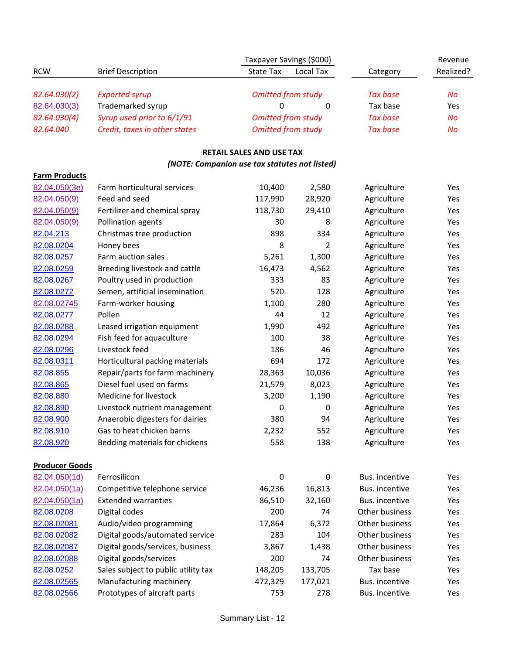|                                        |                                     | Taxpayer Savings (\$000)                      |                |                 | Revenue   |
|----------------------------------------|-------------------------------------|-----------------------------------------------|----------------|-----------------|-----------|
| <b>RCW</b>                             | <b>Brief Description</b>            | <b>State Tax</b>                              | Local Tax      | Category        | Realized? |
|                                        |                                     |                                               |                |                 |           |
| 82.64.030(2)                           | <b>Exported syrup</b>               | <b>Omitted from study</b>                     |                | <b>Tax base</b> | No        |
| 82.64.030(3)                           | Trademarked syrup                   | 0                                             | $\mathbf 0$    | Tax base        | Yes       |
| 82.64.030(4)                           | Syrup used prior to 6/1/91          | <b>Omitted from study</b>                     |                | <b>Tax base</b> | <b>No</b> |
| 82.64.040                              | Credit, taxes in other states       | <b>Omitted from study</b>                     |                | <b>Tax base</b> | <b>No</b> |
|                                        |                                     | <b>RETAIL SALES AND USE TAX</b>               |                |                 |           |
| <b>Farm Products</b>                   |                                     | (NOTE: Companion use tax statutes not listed) |                |                 |           |
| 82.04.050(3e)                          | Farm horticultural services         | 10,400                                        | 2,580          | Agriculture     | Yes       |
| 82.04.050(9)                           | Feed and seed                       | 117,990                                       | 28,920         | Agriculture     | Yes       |
| 82.04.050(9)                           | Fertilizer and chemical spray       | 118,730                                       | 29,410         | Agriculture     | Yes       |
| 82.04.050(9)                           | Pollination agents                  | 30                                            | 8              | Agriculture     | Yes       |
| 82.04.213                              | Christmas tree production           | 898                                           | 334            | Agriculture     | Yes       |
| 82.08.0204                             | Honey bees                          | 8                                             | $\overline{2}$ | Agriculture     | Yes       |
| 82.08.0257                             | Farm auction sales                  | 5,261                                         | 1,300          | Agriculture     | Yes       |
| 82.08.0259                             | Breeding livestock and cattle       | 16,473                                        | 4,562          | Agriculture     | Yes       |
| 82.08.0267                             | Poultry used in production          | 333                                           | 83             | Agriculture     | Yes       |
| 82.08.0272                             | Semen, artificial insemination      | 520                                           | 128            | Agriculture     | Yes       |
| 82.08.02745                            | Farm-worker housing                 | 1,100                                         | 280            | Agriculture     | Yes       |
| 82.08.0277                             | Pollen                              | 44                                            | 12             | Agriculture     | Yes       |
| 82.08.0288                             | Leased irrigation equipment         | 1,990                                         | 492            | Agriculture     | Yes       |
| 82.08.0294                             | Fish feed for aquaculture           | 100                                           | 38             | Agriculture     | Yes       |
| 82.08.0296                             | Livestock feed                      | 186                                           | 46             | Agriculture     | Yes       |
| 82.08.0311                             | Horticultural packing materials     | 694                                           | 172            | Agriculture     | Yes       |
| 82.08.855                              | Repair/parts for farm machinery     | 28,363                                        | 10,036         | Agriculture     | Yes       |
| 82.08.865                              | Diesel fuel used on farms           | 21,579                                        | 8,023          | Agriculture     | Yes       |
| 82.08.880                              | Medicine for livestock              | 3,200                                         | 1,190          | Agriculture     | Yes       |
| 82.08.890                              | Livestock nutrient management       | 0                                             | 0              | Agriculture     | Yes       |
| 82.08.900                              | Anaerobic digesters for dairies     | 380                                           | 94             | Agriculture     | Yes       |
| 82.08.910                              | Gas to heat chicken barns           | 2,232                                         | 552            | Agriculture     | Yes       |
| 82.08.920                              | Bedding materials for chickens      | 558                                           | 138            | Agriculture     | Yes       |
|                                        |                                     |                                               |                |                 |           |
| <b>Producer Goods</b><br>82.04.050(1d) | Ferrosilicon                        | 0                                             | $\mathbf 0$    | Bus. incentive  | Yes       |
| 82.04.050(1a)                          | Competitive telephone service       | 46,236                                        | 16,813         | Bus. incentive  | Yes       |
| 82.04.050(1a)                          | <b>Extended warranties</b>          | 86,510                                        | 32,160         | Bus. incentive  | Yes       |
| 82.08.0208                             | Digital codes                       | 200                                           | 74             | Other business  | Yes       |
| 82.08.02081                            | Audio/video programming             | 17,864                                        | 6,372          | Other business  | Yes       |
| 82.08.02082                            | Digital goods/automated service     | 283                                           | 104            | Other business  | Yes       |
| 82.08.02087                            | Digital goods/services, business    | 3,867                                         | 1,438          | Other business  | Yes       |
| 82.08.02088                            | Digital goods/services              | 200                                           | 74             | Other business  | Yes       |
| 82.08.0252                             | Sales subject to public utility tax | 148,205                                       | 133,705        | Tax base        | Yes       |
| 82.08.02565                            | Manufacturing machinery             | 472,329                                       | 177,021        | Bus. incentive  | Yes       |
| 82.08.02566                            | Prototypes of aircraft parts        | 753                                           | 278            | Bus. incentive  | Yes       |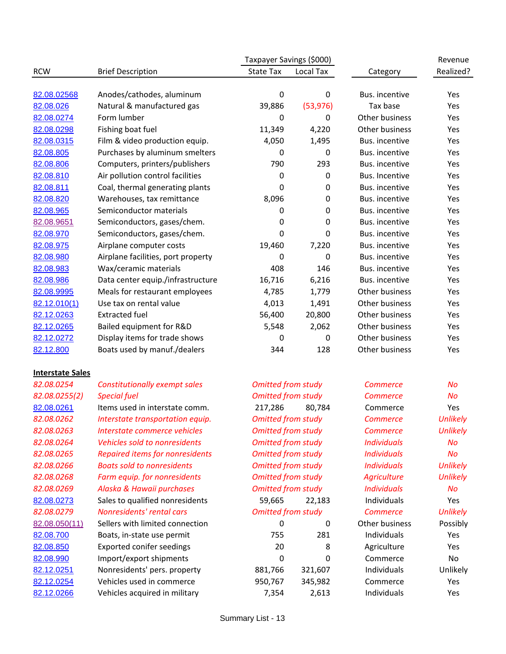|                         |                                        | Taxpayer Savings (\$000)  |           |                    | Revenue         |
|-------------------------|----------------------------------------|---------------------------|-----------|--------------------|-----------------|
| <b>RCW</b>              | <b>Brief Description</b>               | State Tax                 | Local Tax | Category           | Realized?       |
|                         |                                        |                           |           |                    |                 |
| 82.08.02568             | Anodes/cathodes, aluminum              | 0                         | $\pmb{0}$ | Bus. incentive     | Yes             |
| 82.08.026               | Natural & manufactured gas             | 39,886                    | (53, 976) | Tax base           | Yes             |
| 82.08.0274              | Form lumber                            | 0                         | 0         | Other business     | Yes             |
| 82.08.0298              | Fishing boat fuel                      | 11,349                    | 4,220     | Other business     | Yes             |
| 82.08.0315              | Film & video production equip.         | 4,050                     | 1,495     | Bus. incentive     | Yes             |
| 82.08.805               | Purchases by aluminum smelters         | 0                         | 0         | Bus. incentive     | Yes             |
| 82.08.806               | Computers, printers/publishers         | 790                       | 293       | Bus. incentive     | Yes             |
| 82.08.810               | Air pollution control facilities       | 0                         | $\pmb{0}$ | Bus. Incentive     | Yes             |
| 82.08.811               | Coal, thermal generating plants        | 0                         | 0         | Bus. incentive     | Yes             |
| 82.08.820               | Warehouses, tax remittance             | 8,096                     | 0         | Bus. incentive     | Yes             |
| 82.08.965               | Semiconductor materials                | 0                         | 0         | Bus. incentive     | Yes             |
| 82.08.9651              | Semiconductors, gases/chem.            | 0                         | 0         | Bus. incentive     | Yes             |
| 82.08.970               | Semiconductors, gases/chem.            | 0                         | 0         | Bus. incentive     | Yes             |
| 82.08.975               | Airplane computer costs                | 19,460                    | 7,220     | Bus. incentive     | Yes             |
| 82.08.980               | Airplane facilities, port property     | 0                         | 0         | Bus. incentive     | Yes             |
| 82.08.983               | Wax/ceramic materials                  | 408                       | 146       | Bus. incentive     | Yes             |
| 82.08.986               | Data center equip./infrastructure      | 16,716                    | 6,216     | Bus. incentive     | Yes             |
| 82.08.9995              | Meals for restaurant employees         | 4,785                     | 1,779     | Other business     | Yes             |
| 82.12.010(1)            | Use tax on rental value                | 4,013                     | 1,491     | Other business     | Yes             |
| 82.12.0263              | <b>Extracted fuel</b>                  | 56,400                    | 20,800    | Other business     | Yes             |
| 82.12.0265              | Bailed equipment for R&D               | 5,548                     | 2,062     | Other business     | Yes             |
| 82.12.0272              | Display items for trade shows          | 0                         | 0         | Other business     | Yes             |
| 82.12.800               | Boats used by manuf./dealers           | 344                       | 128       | Other business     | Yes             |
| <b>Interstate Sales</b> |                                        |                           |           |                    |                 |
| 82.08.0254              | <b>Constitutionally exempt sales</b>   | <b>Omitted from study</b> |           | <b>Commerce</b>    | No              |
| 82.08.0255(2)           | <b>Special fuel</b>                    | <b>Omitted from study</b> |           | <b>Commerce</b>    | No              |
| 82.08.0261              | Items used in interstate comm.         | 217,286                   | 80,784    | Commerce           | Yes             |
| 82.08.0262              | Interstate transportation equip.       | <b>Omitted from study</b> |           | <b>Commerce</b>    | <b>Unlikely</b> |
| 82.08.0263              | Interstate commerce vehicles           | <b>Omitted from study</b> |           | <b>Commerce</b>    | <b>Unlikely</b> |
| 82.08.0264              | Vehicles sold to nonresidents          | <b>Omitted from study</b> |           | <b>Individuals</b> | No              |
| 82.08.0265              | <b>Repaired items for nonresidents</b> | <b>Omitted from study</b> |           | <b>Individuals</b> | No              |
| 82.08.0266              | <b>Boats sold to nonresidents</b>      | <b>Omitted from study</b> |           | <b>Individuals</b> | <b>Unlikely</b> |
| 82.08.0268              | Farm equip. for nonresidents           | <b>Omitted from study</b> |           | <b>Agriculture</b> | <b>Unlikely</b> |
| 82.08.0269              | Alaska & Hawaii purchases              | <b>Omitted from study</b> |           | <b>Individuals</b> | No              |
| 82.08.0273              | Sales to qualified nonresidents        | 59,665                    | 22,183    | Individuals        | Yes             |
| 82.08.0279              | Nonresidents' rental cars              | <b>Omitted from study</b> |           | <b>Commerce</b>    | <b>Unlikely</b> |
| 82.08.050(11)           | Sellers with limited connection        | 0                         | 0         | Other business     | Possibly        |
| 82.08.700               | Boats, in-state use permit             | 755                       | 281       | Individuals        | Yes             |
| 82.08.850               | <b>Exported conifer seedings</b>       | 20                        | 8         | Agriculture        | Yes             |
| 82.08.990               | Import/export shipments                | 0                         | 0         | Commerce           | No              |

[82.12.0251](http://dor.wa.gov/docs/reports/2012/Exemption_study_2012/2012 Exemption Study - Entire Report.pdf#nameddest=82.12.0251) Nonresidents' pers. property 881,766 321,607 Individuals Unlikely [82.12.0254](http://dor.wa.gov/docs/reports/2012/Exemption_study_2012/2012 Exemption Study - Entire Report.pdf#nameddest=82.12.0254) Vehicles used in commerce 950,767 345,982 Commerce Yes [82.12.0266](http://dor.wa.gov/docs/reports/2012/Exemption_study_2012/2012 Exemption Study - Entire Report.pdf#nameddest=82.12.0266) Vehicles acquired in military **7,354** 2,613 Individuals Yes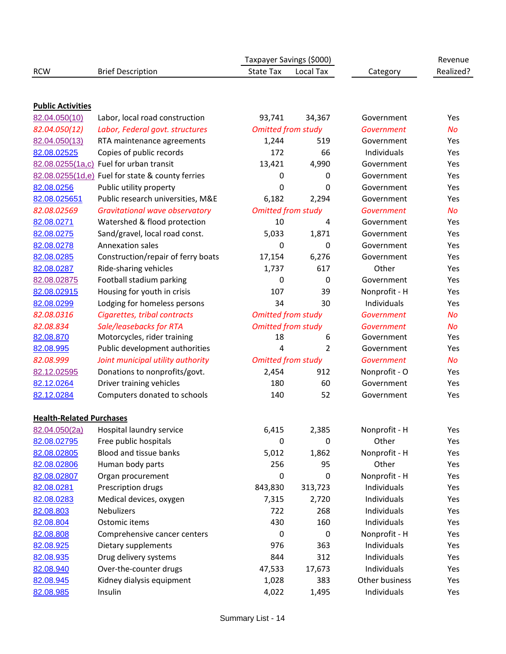|                                 |                                                  | Taxpayer Savings (\$000)  |             |                   | Revenue   |
|---------------------------------|--------------------------------------------------|---------------------------|-------------|-------------------|-----------|
| <b>RCW</b>                      | <b>Brief Description</b>                         | <b>State Tax</b>          | Local Tax   | Category          | Realized? |
|                                 |                                                  |                           |             |                   |           |
| <b>Public Activities</b>        |                                                  |                           |             |                   |           |
| 82.04.050(10)                   | Labor, local road construction                   | 93,741                    | 34,367      | Government        | Yes       |
| 82.04.050(12)                   | Labor, Federal govt. structures                  | <b>Omitted from study</b> |             | Government        | <b>No</b> |
| 82.04.050(13)                   | RTA maintenance agreements                       | 1,244                     | 519         | Government        | Yes       |
| 82.08.02525                     | Copies of public records                         | 172                       | 66          | Individuals       | Yes       |
|                                 | 82.08.0255(1a,c) Fuel for urban transit          | 13,421                    | 4,990       | Government        | Yes       |
|                                 | 82.08.0255(1d,e) Fuel for state & county ferries | 0                         | 0           | Government        | Yes       |
| 82.08.0256                      | Public utility property                          | 0                         | 0           | Government        | Yes       |
| 82.08.025651                    | Public research universities, M&E                | 6,182                     | 2,294       | Government        | Yes       |
| 82.08.02569                     | <b>Gravitational wave observatory</b>            | <b>Omitted from study</b> |             | <b>Government</b> | <b>No</b> |
| 82.08.0271                      | Watershed & flood protection                     | 10                        | 4           | Government        | Yes       |
| 82.08.0275                      | Sand/gravel, local road const.                   | 5,033                     | 1,871       | Government        | Yes       |
| 82.08.0278                      | <b>Annexation sales</b>                          | 0                         | $\Omega$    | Government        | Yes       |
| 82.08.0285                      | Construction/repair of ferry boats               | 17,154                    | 6,276       | Government        | Yes       |
| 82.08.0287                      | Ride-sharing vehicles                            | 1,737                     | 617         | Other             | Yes       |
| 82.08.02875                     | Football stadium parking                         | 0                         | $\mathbf 0$ | Government        | Yes       |
| 82.08.02915                     | Housing for youth in crisis                      | 107                       | 39          | Nonprofit - H     | Yes       |
| 82.08.0299                      | Lodging for homeless persons                     | 34                        | 30          | Individuals       | Yes       |
| 82.08.0316                      | Cigarettes, tribal contracts                     | <b>Omitted from study</b> |             | <b>Government</b> | <b>No</b> |
| 82.08.834                       | Sale/leasebacks for RTA                          | <b>Omitted from study</b> |             | <b>Government</b> | <b>No</b> |
| 82.08.870                       | Motorcycles, rider training                      | 18                        | 6           | Government        | Yes       |
| 82.08.995                       | Public development authorities                   | 4                         | 2           | Government        | Yes       |
| 82.08.999                       | Joint municipal utility authority                | <b>Omitted from study</b> |             | <b>Government</b> | <b>No</b> |
| 82.12.02595                     | Donations to nonprofits/govt.                    | 2,454                     | 912         | Nonprofit - O     | Yes       |
| 82.12.0264                      | Driver training vehicles                         | 180                       | 60          | Government        | Yes       |
| 82.12.0284                      | Computers donated to schools                     | 140                       | 52          | Government        | Yes       |
| <b>Health-Related Purchases</b> |                                                  |                           |             |                   |           |
| 82.04.050(2a)                   | Hospital laundry service                         | 6,415                     | 2,385       | Nonprofit - H     | Yes       |
| 82.08.02795                     | Free public hospitals                            | 0                         | 0           | Other             | Yes       |
| 82.08.02805                     | Blood and tissue banks                           | 5,012                     | 1,862       | Nonprofit - H     | Yes       |
| 82.08.02806                     | Human body parts                                 | 256                       | 95          | Other             | Yes       |
| 82.08.02807                     | Organ procurement                                | 0                         | 0           | Nonprofit - H     | Yes       |
| 82.08.0281                      | Prescription drugs                               | 843,830                   | 313,723     | Individuals       | Yes       |
| 82.08.0283                      | Medical devices, oxygen                          | 7,315                     | 2,720       | Individuals       | Yes       |
| 82.08.803                       | <b>Nebulizers</b>                                | 722                       | 268         | Individuals       | Yes       |
| 82.08.804                       | Ostomic items                                    | 430                       | 160         | Individuals       | Yes       |
| 82.08.808                       | Comprehensive cancer centers                     | 0                         | $\mathbf 0$ | Nonprofit - H     | Yes       |
| 82.08.925                       | Dietary supplements                              | 976                       | 363         | Individuals       | Yes       |
| 82.08.935                       | Drug delivery systems                            | 844                       | 312         | Individuals       | Yes       |
| 82.08.940                       | Over-the-counter drugs                           | 47,533                    | 17,673      | Individuals       | Yes       |
| 82.08.945                       | Kidney dialysis equipment                        | 1,028                     | 383         | Other business    | Yes       |
| 82.08.985                       | Insulin                                          | 4,022                     | 1,495       | Individuals       | Yes       |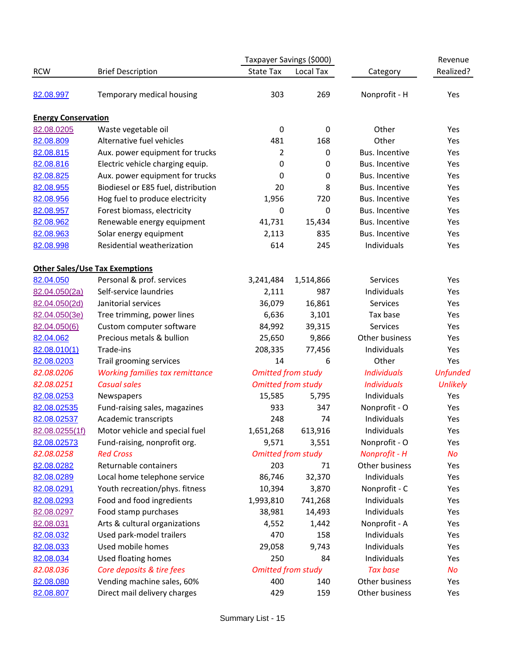| <b>RCW</b>                 | <b>Brief Description</b>               | Taxpayer Savings (\$000)  |           |                    | Revenue         |
|----------------------------|----------------------------------------|---------------------------|-----------|--------------------|-----------------|
|                            |                                        | <b>State Tax</b>          | Local Tax | Category           | Realized?       |
| 82.08.997                  | Temporary medical housing              | 303                       | 269       | Nonprofit - H      | Yes             |
| <b>Energy Conservation</b> |                                        |                           |           |                    |                 |
| 82.08.0205                 | Waste vegetable oil                    | $\boldsymbol{0}$          | 0         | Other              | Yes             |
| 82.08.809                  | Alternative fuel vehicles              | 481                       | 168       | Other              | Yes             |
| 82.08.815                  | Aux. power equipment for trucks        | 2                         | 0         | Bus. Incentive     | Yes             |
| 82.08.816                  | Electric vehicle charging equip.       | 0                         | 0         | Bus. Incentive     | Yes             |
| 82.08.825                  | Aux. power equipment for trucks        | 0                         | 0         | Bus. Incentive     | Yes             |
| 82.08.955                  | Biodiesel or E85 fuel, distribution    | 20                        | 8         | Bus. Incentive     | Yes             |
| 82.08.956                  | Hog fuel to produce electricity        | 1,956                     | 720       | Bus. Incentive     | Yes             |
| 82.08.957                  | Forest biomass, electricity            | 0                         | 0         | Bus. Incentive     | Yes             |
| 82.08.962                  | Renewable energy equipment             | 41,731                    | 15,434    | Bus. Incentive     | Yes             |
| 82.08.963                  | Solar energy equipment                 | 2,113                     | 835       | Bus. Incentive     | Yes             |
| 82.08.998                  | Residential weatherization             | 614                       | 245       | Individuals        | Yes             |
|                            | <b>Other Sales/Use Tax Exemptions</b>  |                           |           |                    |                 |
| 82.04.050                  | Personal & prof. services              | 3,241,484                 | 1,514,866 | Services           | Yes             |
| 82.04.050(2a)              | Self-service laundries                 | 2,111                     | 987       | Individuals        | Yes             |
| 82.04.050(2d)              | Janitorial services                    | 36,079                    | 16,861    | Services           | Yes             |
| 82.04.050(3e)              | Tree trimming, power lines             | 6,636                     | 3,101     | Tax base           | Yes             |
| 82.04.050(6)               | Custom computer software               | 84,992                    | 39,315    | Services           | Yes             |
| 82.04.062                  | Precious metals & bullion              | 25,650                    | 9,866     | Other business     | Yes             |
| 82.08.010(1)               | Trade-ins                              | 208,335                   | 77,456    | Individuals        | Yes             |
| 82.08.0203                 | Trail grooming services                | 14                        | 6         | Other              | Yes             |
| 82.08.0206                 | <b>Working families tax remittance</b> | <b>Omitted from study</b> |           | <b>Individuals</b> | <b>Unfunded</b> |
| 82.08.0251                 | <b>Casual sales</b>                    | <b>Omitted from study</b> |           | <b>Individuals</b> | <b>Unlikely</b> |
| 82.08.0253                 | Newspapers                             | 15,585                    | 5,795     | Individuals        | Yes             |
| 82.08.02535                | Fund-raising sales, magazines          | 933                       | 347       | Nonprofit - O      | Yes             |
| 82.08.02537                | Academic transcripts                   | 248                       | 74        | Individuals        | Yes             |
| 82.08.0255(1f)             | Motor vehicle and special fuel         | 1,651,268                 | 613,916   | Individuals        | Yes             |
| 82.08.02573                | Fund-raising, nonprofit org.           | 9,571                     | 3,551     | Nonprofit - O      | Yes             |
| 82.08.0258                 | <b>Red Cross</b>                       | <b>Omitted from study</b> |           | Nonprofit - H      | No              |
| 82.08.0282                 | Returnable containers                  | 203                       | 71        | Other business     | Yes             |
| 82.08.0289                 | Local home telephone service           | 86,746                    | 32,370    | Individuals        | Yes             |
| 82.08.0291                 | Youth recreation/phys. fitness         | 10,394                    | 3,870     | Nonprofit - C      | Yes             |
| 82.08.0293                 | Food and food ingredients              | 1,993,810                 | 741,268   | Individuals        | Yes             |
| 82.08.0297                 | Food stamp purchases                   | 38,981                    | 14,493    | Individuals        | Yes             |
| 82.08.031                  | Arts & cultural organizations          | 4,552                     | 1,442     | Nonprofit - A      | Yes             |
| 82.08.032                  | Used park-model trailers               | 470                       | 158       | Individuals        | Yes             |
| 82.08.033                  | Used mobile homes                      | 29,058                    | 9,743     | Individuals        | Yes             |
| 82.08.034                  | Used floating homes                    | 250                       | 84        | Individuals        | Yes             |
| 82.08.036                  | Core deposits & tire fees              | <b>Omitted from study</b> |           | <b>Tax base</b>    | No              |
| 82.08.080                  | Vending machine sales, 60%             | 400                       | 140       | Other business     | Yes             |
| 82.08.807                  | Direct mail delivery charges           | 429                       | 159       | Other business     | Yes             |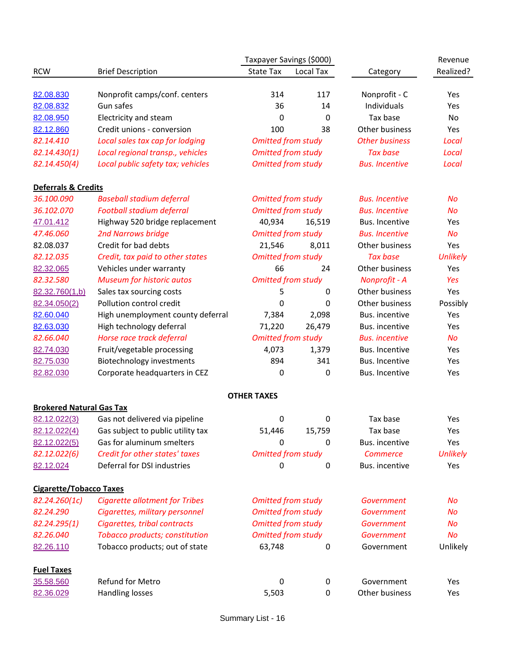| Taxpayer Savings (\$000)        |                                            |                                                        |           |                              | Revenue         |
|---------------------------------|--------------------------------------------|--------------------------------------------------------|-----------|------------------------------|-----------------|
| <b>RCW</b>                      | <b>Brief Description</b>                   | State Tax                                              | Local Tax | Category                     | Realized?       |
|                                 |                                            |                                                        |           |                              |                 |
| 82.08.830<br>82.08.832          | Nonprofit camps/conf. centers<br>Gun safes | 314<br>36                                              | 117<br>14 | Nonprofit - C<br>Individuals | Yes<br>Yes      |
| 82.08.950                       | Electricity and steam                      | 0                                                      | 0         | Tax base                     | No              |
| 82.12.860                       | Credit unions - conversion                 | 100                                                    | 38        | Other business               | Yes             |
| 82.14.410                       | Local sales tax cap for lodging            | <b>Omitted from study</b>                              |           | <b>Other business</b>        | Local           |
| 82.14.430(1)                    | Local regional transp., vehicles           | <b>Omitted from study</b>                              |           | <b>Tax base</b>              | Local           |
| 82.14.450(4)                    | Local public safety tax; vehicles          | <b>Omitted from study</b>                              |           | <b>Bus. Incentive</b>        | Local           |
|                                 |                                            |                                                        |           |                              |                 |
| <b>Deferrals &amp; Credits</b>  |                                            |                                                        |           |                              |                 |
| 36.100.090                      | <b>Baseball stadium deferral</b>           | <b>Omitted from study</b>                              |           | <b>Bus. Incentive</b>        | <b>No</b>       |
| 36.102.070                      | Football stadium deferral                  | <b>Omitted from study</b>                              |           | <b>Bus. Incentive</b>        | <b>No</b>       |
| 47.01.412                       | Highway 520 bridge replacement             | 40,934                                                 | 16,519    | Bus. Incentive               | Yes             |
| 47.46.060                       | <b>2nd Narrows bridge</b>                  | <b>Omitted from study</b>                              |           | <b>Bus. Incentive</b>        | <b>No</b>       |
| 82.08.037                       | Credit for bad debts                       | 21,546                                                 | 8,011     | Other business               | Yes             |
| 82.12.035                       | Credit, tax paid to other states           | <b>Omitted from study</b>                              |           | <b>Tax base</b>              | <b>Unlikely</b> |
| 82.32.065                       | Vehicles under warranty                    | 66                                                     | 24        | Other business               | Yes             |
| 82.32.580                       | <b>Museum for historic autos</b>           | <b>Omitted from study</b>                              |           | Nonprofit - A                | Yes             |
| 82.32.760(1,b)                  | Sales tax sourcing costs                   | 5                                                      | 0         | Other business               | Yes             |
| 82.34.050(2)                    | Pollution control credit                   | 0                                                      | 0         | Other business               | Possibly        |
| 82.60.040                       | High unemployment county deferral          | 7,384                                                  | 2,098     | Bus. incentive               | Yes             |
| 82.63.030                       | High technology deferral                   | 71,220                                                 | 26,479    | Bus. incentive               | Yes             |
| 82.66.040                       | Horse race track deferral                  | <b>Omitted from study</b>                              |           | <b>Bus.</b> incentive        | No              |
| 82.74.030                       | Fruit/vegetable processing                 | 4,073                                                  | 1,379     | Bus. Incentive               | Yes             |
| 82.75.030                       | Biotechnology investments                  | 894                                                    | 341       | Bus. Incentive               | Yes             |
| 82.82.030                       | Corporate headquarters in CEZ              | 0                                                      | 0         | Bus. Incentive               | Yes             |
|                                 |                                            | <b>OTHER TAXES</b>                                     |           |                              |                 |
| <b>Brokered Natural Gas Tax</b> |                                            |                                                        |           |                              |                 |
| 82.12.022(3)                    | Gas not delivered via pipeline             | 0                                                      | 0         | Tax base                     | Yes             |
| 82.12.022(4)                    | Gas subject to public utility tax          | 51,446                                                 | 15,759    | Tax base                     | Yes             |
| 82.12.022(5)                    | Gas for aluminum smelters                  | 0                                                      | 0         | Bus. incentive               | Yes             |
| 82.12.022(6)                    | Credit for other states' taxes             | <b>Omitted from study</b>                              |           | <b>Commerce</b>              | <b>Unlikely</b> |
| 82.12.024                       | Deferral for DSI industries                | 0                                                      | 0         | Bus. incentive               | Yes             |
| <b>Cigarette/Tobacco Taxes</b>  |                                            |                                                        |           |                              |                 |
| 82.24.260(1c)                   | <b>Cigarette allotment for Tribes</b>      |                                                        |           | Government                   | No              |
| 82.24.290                       | Cigarettes, military personnel             | <b>Omitted from study</b><br><b>Omitted from study</b> |           | Government                   | No              |
| 82.24.295(1)                    | Cigarettes, tribal contracts               | <b>Omitted from study</b>                              |           | Government                   | No              |
| 82.26.040                       | Tobacco products; constitution             | <b>Omitted from study</b>                              |           | Government                   | No              |
| 82.26.110                       | Tobacco products; out of state             | 63,748                                                 | 0         | Government                   | Unlikely        |
|                                 |                                            |                                                        |           |                              |                 |
| <b>Fuel Taxes</b>               |                                            |                                                        |           |                              |                 |
| 35.58.560                       | Refund for Metro                           | 0                                                      | 0         | Government<br>Other business | Yes             |
| 82.36.029                       | Handling losses                            | 5,503                                                  | 0         |                              | Yes             |